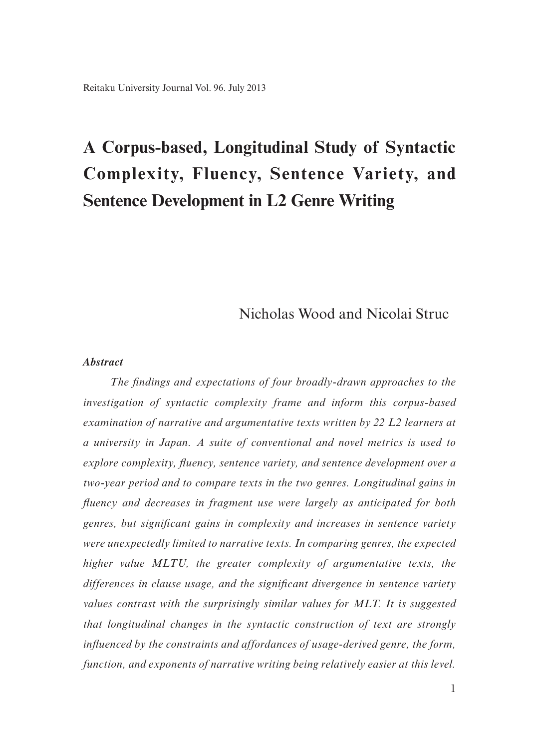# **A Corpus-based, Longitudinal Study of Syntactic Complexity, Fluency, Sentence Variety, and Sentence Development in L2 Genre Writing**

## Nicholas Wood and Nicolai Struc

#### *Abstract*

*The findings and expectations of four broadly-drawn approaches to the investigation of syntactic complexity frame and inform this corpus-based examination of narrative and argumentative texts written by 22 L2 learners at a university in Japan. A suite of conventional and novel metrics is used to explore complexity, fluency, sentence variety, and sentence development over a two-year period and to compare texts in the two genres. Longitudinal gains in fluency and decreases in fragment use were largely as anticipated for both genres, but significant gains in complexity and increases in sentence variety were unexpectedly limited to narrative texts. In comparing genres, the expected higher value MLTU, the greater complexity of argumentative texts, the differences in clause usage, and the significant divergence in sentence variety values contrast with the surprisingly similar values for MLT. It is suggested that longitudinal changes in the syntactic construction of text are strongly influenced by the constraints and affordances of usage-derived genre, the form, function, and exponents of narrative writing being relatively easier at this level.*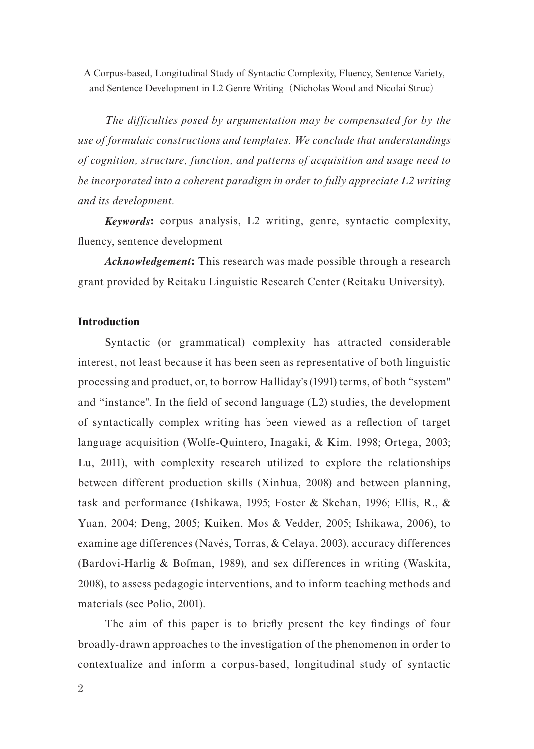*The difficulties posed by argumentation may be compensated for by the use of formulaic constructions and templates. We conclude that understandings of cognition, structure, function, and patterns of acquisition and usage need to be incorporated into a coherent paradigm in order to fully appreciate L2 writing and its development.*

*Keywords***:** corpus analysis, L2 writing, genre, syntactic complexity, fluency, sentence development

*Acknowledgement***:** This research was made possible through a research grant provided by Reitaku Linguistic Research Center (Reitaku University).

## **Introduction**

Syntactic (or grammatical) complexity has attracted considerable interest, not least because it has been seen as representative of both linguistic processing and product, or, to borrow Halliday's (1991) terms, of both "system" and "instance". In the field of second language (L2) studies, the development of syntactically complex writing has been viewed as a reflection of target language acquisition (Wolfe-Quintero, Inagaki, & Kim, 1998; Ortega, 2003; Lu, 2011), with complexity research utilized to explore the relationships between different production skills (Xinhua, 2008) and between planning, task and performance (Ishikawa, 1995; Foster & Skehan, 1996; Ellis, R., & Yuan, 2004; Deng, 2005; Kuiken, Mos & Vedder, 2005; Ishikawa, 2006), to examine age differences (Navés, Torras, & Celaya, 2003), accuracy differences (Bardovi-Harlig & Bofman, 1989), and sex differences in writing (Waskita, 2008), to assess pedagogic interventions, and to inform teaching methods and materials (see Polio, 2001).

The aim of this paper is to briefly present the key findings of four broadly-drawn approaches to the investigation of the phenomenon in order to contextualize and inform a corpus-based, longitudinal study of syntactic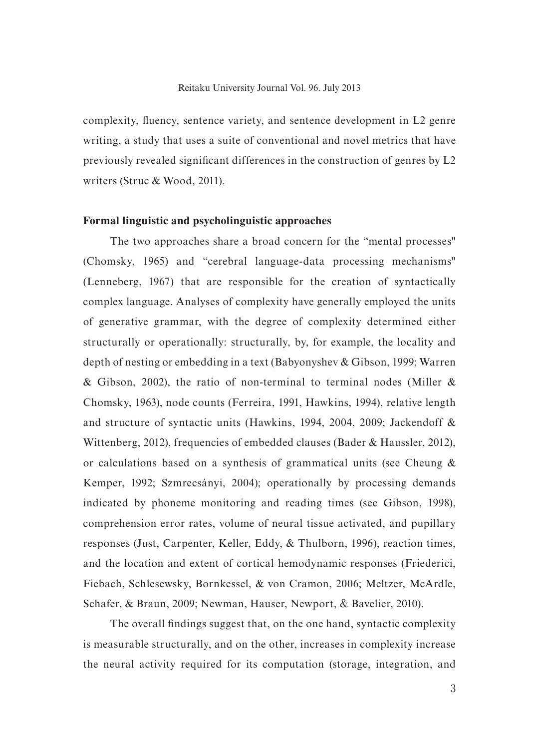complexity, fluency, sentence variety, and sentence development in L2 genre writing, a study that uses a suite of conventional and novel metrics that have previously revealed significant differences in the construction of genres by L2 writers (Struc & Wood, 2011).

#### **Formal linguistic and psycholinguistic approaches**

The two approaches share a broad concern for the "mental processes" (Chomsky, 1965) and "cerebral language-data processing mechanisms" (Lenneberg, 1967) that are responsible for the creation of syntactically complex language. Analyses of complexity have generally employed the units of generative grammar, with the degree of complexity determined either structurally or operationally: structurally, by, for example, the locality and depth of nesting or embedding in a text (Babyonyshev & Gibson, 1999; Warren & Gibson, 2002), the ratio of non-terminal to terminal nodes (Miller & Chomsky, 1963), node counts (Ferreira, 1991, Hawkins, 1994), relative length and structure of syntactic units (Hawkins, 1994, 2004, 2009; Jackendoff & Wittenberg, 2012), frequencies of embedded clauses (Bader & Haussler, 2012), or calculations based on a synthesis of grammatical units (see Cheung & Kemper, 1992; Szmrecsányi, 2004); operationally by processing demands indicated by phoneme monitoring and reading times (see Gibson, 1998), comprehension error rates, volume of neural tissue activated, and pupillary responses (Just, Carpenter, Keller, Eddy, & Thulborn, 1996), reaction times, and the location and extent of cortical hemodynamic responses (Friederici, Fiebach, Schlesewsky, Bornkessel, & von Cramon, 2006; Meltzer, McArdle, Schafer, & Braun, 2009; Newman, Hauser, Newport, & Bavelier, 2010).

The overall findings suggest that, on the one hand, syntactic complexity is measurable structurally, and on the other, increases in complexity increase the neural activity required for its computation (storage, integration, and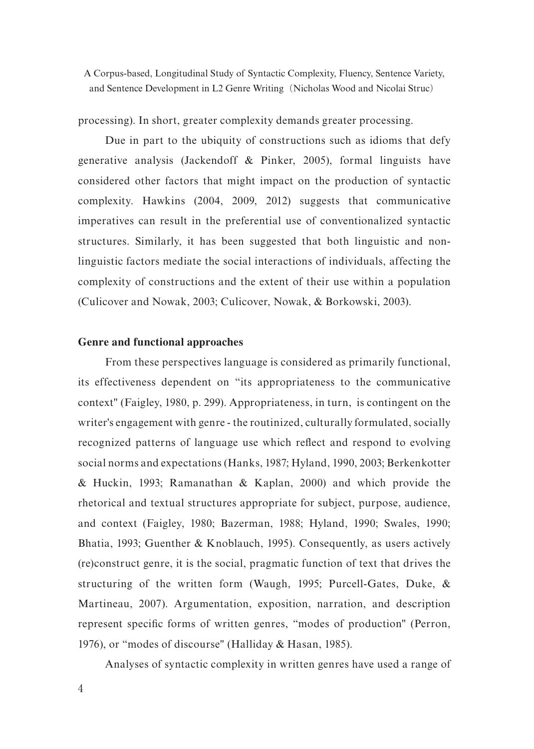processing). In short, greater complexity demands greater processing.

Due in part to the ubiquity of constructions such as idioms that defy generative analysis (Jackendoff & Pinker, 2005), formal linguists have considered other factors that might impact on the production of syntactic complexity. Hawkins (2004, 2009, 2012) suggests that communicative imperatives can result in the preferential use of conventionalized syntactic structures. Similarly, it has been suggested that both linguistic and nonlinguistic factors mediate the social interactions of individuals, affecting the complexity of constructions and the extent of their use within a population (Culicover and Nowak, 2003; Culicover, Nowak, & Borkowski, 2003).

### **Genre and functional approaches**

From these perspectives language is considered as primarily functional, its effectiveness dependent on "its appropriateness to the communicative context" (Faigley, 1980, p. 299). Appropriateness, in turn, is contingent on the writer's engagement with genre - the routinized, culturally formulated, socially recognized patterns of language use which reflect and respond to evolving social norms and expectations (Hanks, 1987; Hyland, 1990, 2003; Berkenkotter & Huckin, 1993; Ramanathan & Kaplan, 2000) and which provide the rhetorical and textual structures appropriate for subject, purpose, audience, and context (Faigley, 1980; Bazerman, 1988; Hyland, 1990; Swales, 1990; Bhatia, 1993; Guenther & Knoblauch, 1995). Consequently, as users actively (re)construct genre, it is the social, pragmatic function of text that drives the structuring of the written form (Waugh, 1995; Purcell-Gates, Duke, & Martineau, 2007). Argumentation, exposition, narration, and description represent specific forms of written genres, "modes of production" (Perron, 1976), or "modes of discourse" (Halliday & Hasan, 1985).

Analyses of syntactic complexity in written genres have used a range of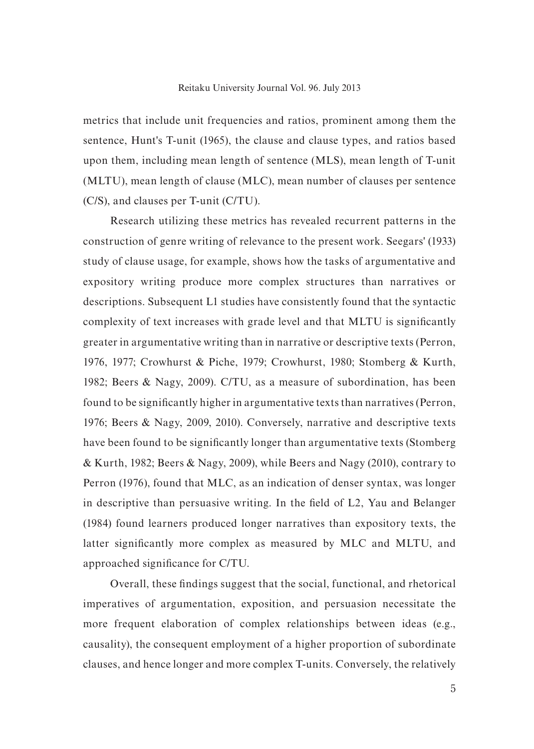#### Reitaku University Journal Vol. 96. July 2013

metrics that include unit frequencies and ratios, prominent among them the sentence, Hunt's T-unit (1965), the clause and clause types, and ratios based upon them, including mean length of sentence (MLS), mean length of T-unit (MLTU), mean length of clause (MLC), mean number of clauses per sentence (C/S), and clauses per T-unit (C/TU).

Research utilizing these metrics has revealed recurrent patterns in the construction of genre writing of relevance to the present work. Seegars' (1933) study of clause usage, for example, shows how the tasks of argumentative and expository writing produce more complex structures than narratives or descriptions. Subsequent L1 studies have consistently found that the syntactic complexity of text increases with grade level and that MLTU is significantly greater in argumentative writing than in narrative or descriptive texts (Perron, 1976, 1977; Crowhurst & Piche, 1979; Crowhurst, 1980; Stomberg & Kurth, 1982; Beers & Nagy, 2009). C/TU, as a measure of subordination, has been found to be significantly higher in argumentative texts than narratives (Perron, 1976; Beers & Nagy, 2009, 2010). Conversely, narrative and descriptive texts have been found to be significantly longer than argumentative texts (Stomberg & Kurth, 1982; Beers & Nagy, 2009), while Beers and Nagy (2010), contrary to Perron (1976), found that MLC, as an indication of denser syntax, was longer in descriptive than persuasive writing. In the field of L2, Yau and Belanger (1984) found learners produced longer narratives than expository texts, the latter significantly more complex as measured by MLC and MLTU, and approached significance for C/TU.

Overall, these findings suggest that the social, functional, and rhetorical imperatives of argumentation, exposition, and persuasion necessitate the more frequent elaboration of complex relationships between ideas (e.g., causality), the consequent employment of a higher proportion of subordinate clauses, and hence longer and more complex T-units. Conversely, the relatively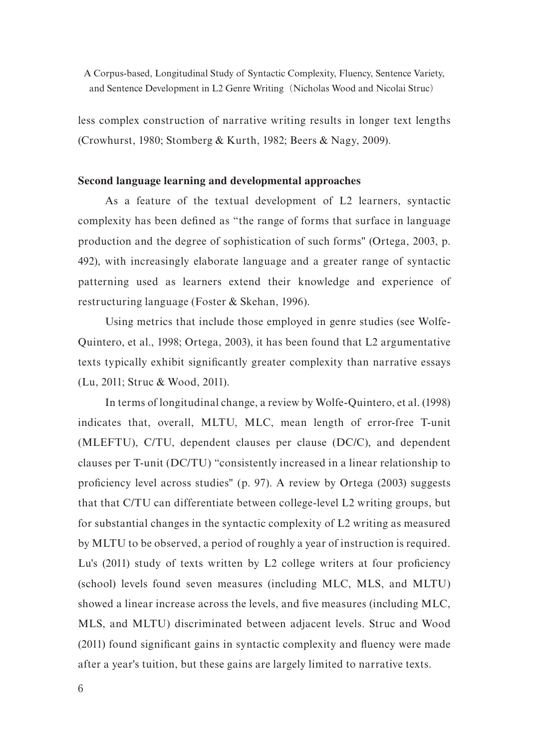less complex construction of narrative writing results in longer text lengths (Crowhurst, 1980; Stomberg & Kurth, 1982; Beers & Nagy, 2009).

## **Second language learning and developmental approaches**

As a feature of the textual development of L2 learners, syntactic complexity has been defined as "the range of forms that surface in language production and the degree of sophistication of such forms" (Ortega, 2003, p. 492), with increasingly elaborate language and a greater range of syntactic patterning used as learners extend their knowledge and experience of restructuring language (Foster & Skehan, 1996).

Using metrics that include those employed in genre studies (see Wolfe-Quintero, et al., 1998; Ortega, 2003), it has been found that L2 argumentative texts typically exhibit significantly greater complexity than narrative essays (Lu, 2011; Struc & Wood, 2011).

In terms of longitudinal change, a review by Wolfe-Quintero, et al. (1998) indicates that, overall, MLTU, MLC, mean length of error-free T-unit (MLEFTU), C/TU, dependent clauses per clause (DC/C), and dependent clauses per T-unit (DC/TU) "consistently increased in a linear relationship to proficiency level across studies" (p. 97). A review by Ortega (2003) suggests that that C/TU can differentiate between college-level L2 writing groups, but for substantial changes in the syntactic complexity of L2 writing as measured by MLTU to be observed, a period of roughly a year of instruction is required. Lu's (2011) study of texts written by L2 college writers at four proficiency (school) levels found seven measures (including MLC, MLS, and MLTU) showed a linear increase across the levels, and five measures (including MLC, MLS, and MLTU) discriminated between adjacent levels. Struc and Wood (2011) found significant gains in syntactic complexity and fluency were made after a year's tuition, but these gains are largely limited to narrative texts.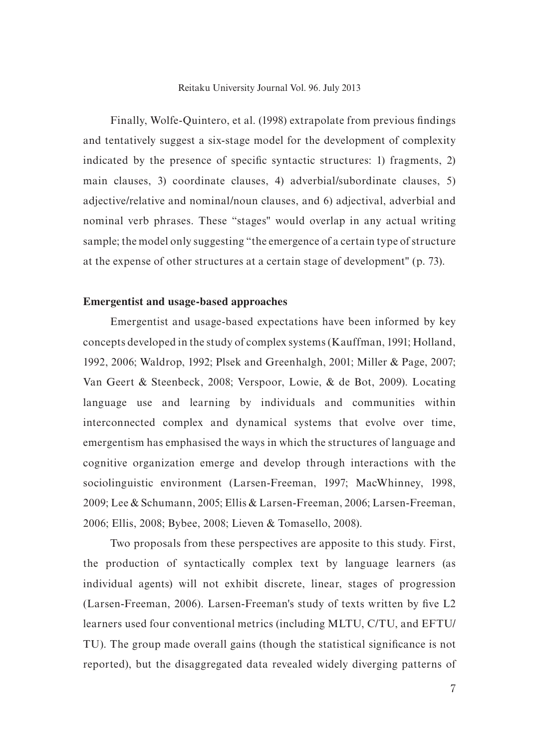#### Reitaku University Journal Vol. 96. July 2013

Finally, Wolfe-Quintero, et al. (1998) extrapolate from previous findings and tentatively suggest a six-stage model for the development of complexity indicated by the presence of specific syntactic structures: 1) fragments, 2) main clauses, 3) coordinate clauses, 4) adverbial/subordinate clauses, 5) adjective/relative and nominal/noun clauses, and 6) adjectival, adverbial and nominal verb phrases. These "stages" would overlap in any actual writing sample; the model only suggesting "the emergence of a certain type of structure at the expense of other structures at a certain stage of development" (p. 73).

## **Emergentist and usage-based approaches**

Emergentist and usage-based expectations have been informed by key concepts developed in the study of complex systems (Kauffman, 1991; Holland, 1992, 2006; Waldrop, 1992; Plsek and Greenhalgh, 2001; Miller & Page, 2007; Van Geert & Steenbeck, 2008; Verspoor, Lowie, & de Bot, 2009). Locating language use and learning by individuals and communities within interconnected complex and dynamical systems that evolve over time, emergentism has emphasised the ways in which the structures of language and cognitive organization emerge and develop through interactions with the sociolinguistic environment (Larsen-Freeman, 1997; MacWhinney, 1998, 2009; Lee & Schumann, 2005; Ellis & Larsen-Freeman, 2006; Larsen-Freeman, 2006; Ellis, 2008; Bybee, 2008; Lieven & Tomasello, 2008).

Two proposals from these perspectives are apposite to this study. First, the production of syntactically complex text by language learners (as individual agents) will not exhibit discrete, linear, stages of progression (Larsen-Freeman, 2006). Larsen-Freeman's study of texts written by five L2 learners used four conventional metrics (including MLTU, C/TU, and EFTU/ TU). The group made overall gains (though the statistical significance is not reported), but the disaggregated data revealed widely diverging patterns of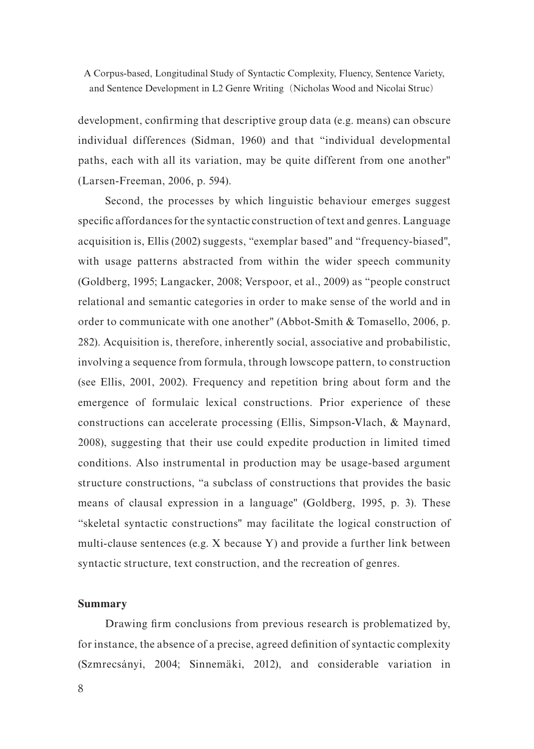development, confirming that descriptive group data (e.g. means) can obscure individual differences (Sidman, 1960) and that "individual developmental paths, each with all its variation, may be quite different from one another" (Larsen-Freeman, 2006, p. 594).

Second, the processes by which linguistic behaviour emerges suggest specific affordances for the syntactic construction of text and genres. Language acquisition is, Ellis (2002) suggests, "exemplar based" and "frequency-biased", with usage patterns abstracted from within the wider speech community (Goldberg, 1995; Langacker, 2008; Verspoor, et al., 2009) as "people construct relational and semantic categories in order to make sense of the world and in order to communicate with one another" (Abbot-Smith & Tomasello, 2006, p. 282). Acquisition is, therefore, inherently social, associative and probabilistic, involving a sequence from formula, through lowscope pattern, to construction (see Ellis, 2001, 2002). Frequency and repetition bring about form and the emergence of formulaic lexical constructions. Prior experience of these constructions can accelerate processing (Ellis, Simpson-Vlach, & Maynard, 2008), suggesting that their use could expedite production in limited timed conditions. Also instrumental in production may be usage-based argument structure constructions, "a subclass of constructions that provides the basic means of clausal expression in a language" (Goldberg, 1995, p. 3). These "skeletal syntactic constructions" may facilitate the logical construction of multi-clause sentences (e.g. X because Y) and provide a further link between syntactic structure, text construction, and the recreation of genres.

### **Summary**

Drawing firm conclusions from previous research is problematized by, for instance, the absence of a precise, agreed definition of syntactic complexity (Szmrecsányi, 2004; Sinnemäki, 2012), and considerable variation in

8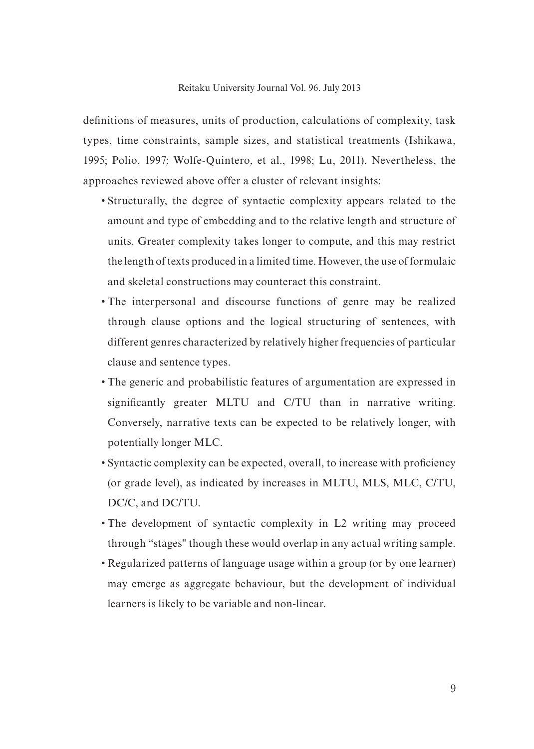#### Reitaku University Journal Vol. 96. July 2013

definitions of measures, units of production, calculations of complexity, task types, time constraints, sample sizes, and statistical treatments (Ishikawa, 1995; Polio, 1997; Wolfe-Quintero, et al., 1998; Lu, 2011). Nevertheless, the approaches reviewed above offer a cluster of relevant insights:

- Structurally, the degree of syntactic complexity appears related to the amount and type of embedding and to the relative length and structure of units. Greater complexity takes longer to compute, and this may restrict the length of texts produced in a limited time. However, the use of formulaic and skeletal constructions may counteract this constraint.
- The interpersonal and discourse functions of genre may be realized through clause options and the logical structuring of sentences, with different genres characterized by relatively higher frequencies of particular clause and sentence types.
- The generic and probabilistic features of argumentation are expressed in significantly greater MLTU and C/TU than in narrative writing. Conversely, narrative texts can be expected to be relatively longer, with potentially longer MLC.
- Syntactic complexity can be expected, overall, to increase with proficiency (or grade level), as indicated by increases in MLTU, MLS, MLC, C/TU, DC/C, and DC/TU.
- The development of syntactic complexity in L2 writing may proceed through "stages" though these would overlap in any actual writing sample.
- Regularized patterns of language usage within a group (or by one learner) may emerge as aggregate behaviour, but the development of individual learners is likely to be variable and non-linear.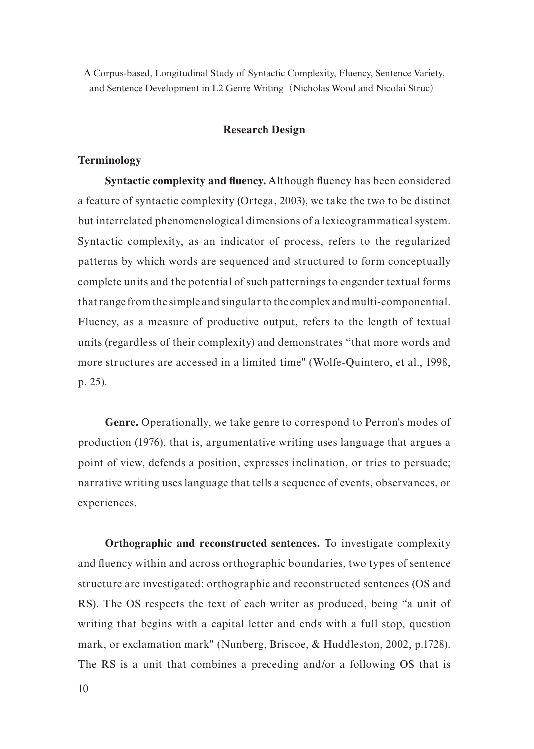## **Research Design**

## **Terminology**

**Syntactic complexity and fluency.** Although fluency has been considered a feature of syntactic complexity (Ortega, 2003), we take the two to be distinct but interrelated phenomenological dimensions of a lexicogrammatical system. Syntactic complexity, as an indicator of process, refers to the regularized patterns by which words are sequenced and structured to form conceptually complete units and the potential of such patternings to engender textual forms that range from the simple and singular to the complex and multi-componential. Fluency, as a measure of productive output, refers to the length of textual units (regardless of their complexity) and demonstrates "that more words and more structures are accessed in a limited time" (Wolfe-Quintero, et al., 1998, p. 25).

**Genre.** Operationally, we take genre to correspond to Perron's modes of production (1976), that is, argumentative writing uses language that argues a point of view, defends a position, expresses inclination, or tries to persuade; narrative writing uses language that tells a sequence of events, observances, or experiences.

**Orthographic and reconstructed sentences.** To investigate complexity and fluency within and across orthographic boundaries, two types of sentence structure are investigated: orthographic and reconstructed sentences (OS and RS). The OS respects the text of each writer as produced, being "a unit of writing that begins with a capital letter and ends with a full stop, question mark, or exclamation mark" (Nunberg, Briscoe, & Huddleston, 2002, p.1728). The RS is a unit that combines a preceding and/or a following OS that is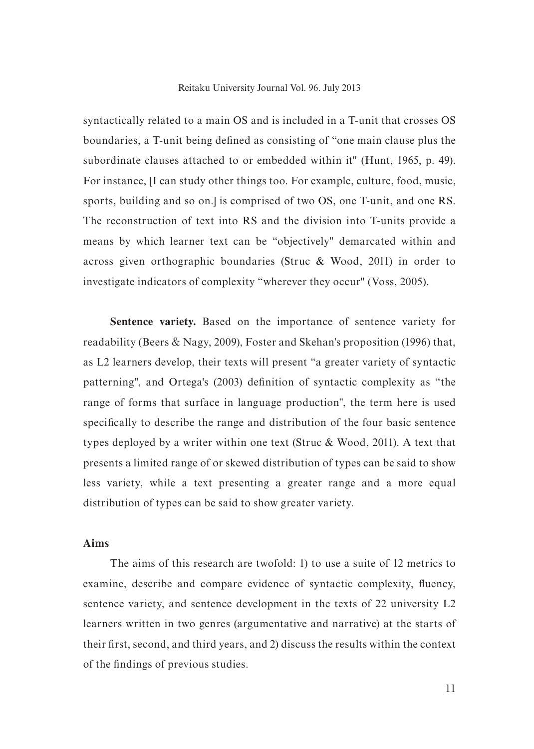#### Reitaku University Journal Vol. 96. July 2013

syntactically related to a main OS and is included in a T-unit that crosses OS boundaries, a T-unit being defined as consisting of "one main clause plus the subordinate clauses attached to or embedded within it" (Hunt, 1965, p. 49). For instance, [I can study other things too. For example, culture, food, music, sports, building and so on. is comprised of two OS, one T-unit, and one RS. The reconstruction of text into RS and the division into T-units provide a means by which learner text can be "objectively" demarcated within and across given orthographic boundaries (Struc & Wood, 2011) in order to investigate indicators of complexity "wherever they occur" (Voss, 2005).

**Sentence variety.** Based on the importance of sentence variety for readability (Beers & Nagy, 2009), Foster and Skehan's proposition (1996) that, as L2 learners develop, their texts will present "a greater variety of syntactic patterning", and Ortega's (2003) definition of syntactic complexity as "the range of forms that surface in language production", the term here is used specifically to describe the range and distribution of the four basic sentence types deployed by a writer within one text (Struc & Wood, 2011). A text that presents a limited range of or skewed distribution of types can be said to show less variety, while a text presenting a greater range and a more equal distribution of types can be said to show greater variety.

## **Aims**

The aims of this research are twofold: 1) to use a suite of 12 metrics to examine, describe and compare evidence of syntactic complexity, fluency, sentence variety, and sentence development in the texts of 22 university L2 learners written in two genres (argumentative and narrative) at the starts of their first, second, and third years, and 2) discuss the results within the context of the findings of previous studies.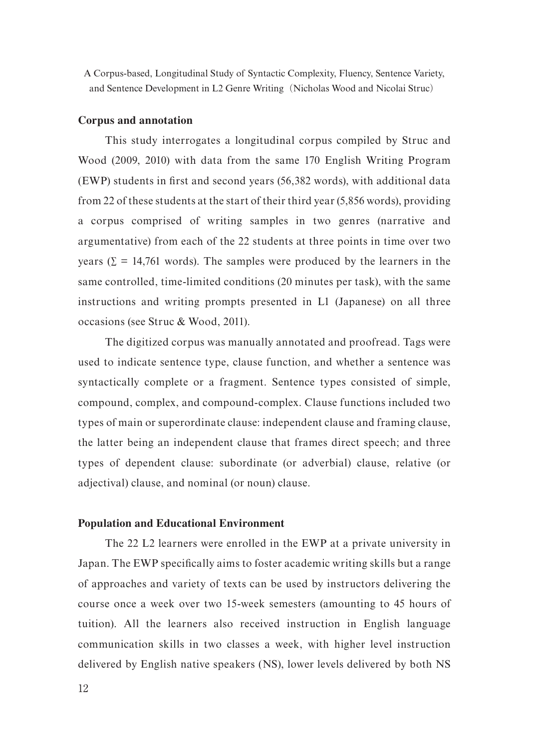#### **Corpus and annotation**

This study interrogates a longitudinal corpus compiled by Struc and Wood (2009, 2010) with data from the same 170 English Writing Program (EWP) students in first and second years (56,382 words), with additional data from 22 of these students at the start of their third year (5,856 words), providing a corpus comprised of writing samples in two genres (narrative and argumentative) from each of the 22 students at three points in time over two years ( $\Sigma = 14,761$  words). The samples were produced by the learners in the same controlled, time-limited conditions (20 minutes per task), with the same instructions and writing prompts presented in L1 (Japanese) on all three occasions (see Struc & Wood, 2011).

The digitized corpus was manually annotated and proofread. Tags were used to indicate sentence type, clause function, and whether a sentence was syntactically complete or a fragment. Sentence types consisted of simple, compound, complex, and compound-complex. Clause functions included two types of main or superordinate clause: independent clause and framing clause, the latter being an independent clause that frames direct speech; and three types of dependent clause: subordinate (or adverbial) clause, relative (or adjectival) clause, and nominal (or noun) clause.

## **Population and Educational Environment**

The 22 L2 learners were enrolled in the EWP at a private university in Japan. The EWP specifically aims to foster academic writing skills but a range of approaches and variety of texts can be used by instructors delivering the course once a week over two 15-week semesters (amounting to 45 hours of tuition). All the learners also received instruction in English language communication skills in two classes a week, with higher level instruction delivered by English native speakers (NS), lower levels delivered by both NS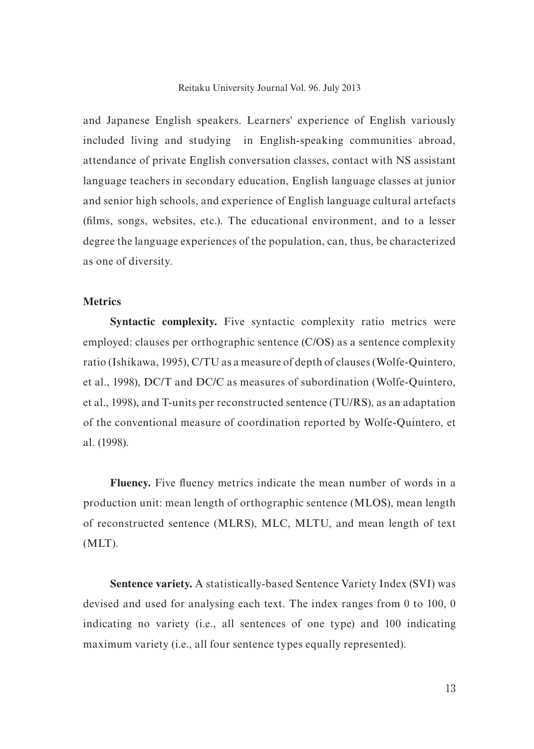#### Reitaku University Journal Vol. 96. July 2013

and Japanese English speakers. Learners' experience of English variously included living and studying in English-speaking communities abroad, attendance of private English conversation classes, contact with NS assistant language teachers in secondary education, English language classes at junior and senior high schools, and experience of English language cultural artefacts (films, songs, websites, etc.). The educational environment, and to a lesser degree the language experiences of the population, can, thus, be characterized as one of diversity.

## **Metrics**

**Syntactic complexity.** Five syntactic complexity ratio metrics were employed: clauses per orthographic sentence (C/OS) as a sentence complexity ratio (Ishikawa, 1995), C/TU as a measure of depth of clauses (Wolfe-Quintero, et al., 1998), DC/T and DC/C as measures of subordination (Wolfe-Quintero, et al., 1998), and T-units per reconstructed sentence (TU/RS), as an adaptation of the conventional measure of coordination reported by Wolfe-Quintero, et al. (1998).

**Fluency.** Five fluency metrics indicate the mean number of words in a production unit: mean length of orthographic sentence (MLOS), mean length of reconstructed sentence (MLRS), MLC, MLTU, and mean length of text (MLT).

**Sentence variety.** A statistically-based Sentence Variety Index (SVI) was devised and used for analysing each text. The index ranges from 0 to 100, 0 indicating no variety (i.e., all sentences of one type) and 100 indicating maximum variety (i.e., all four sentence types equally represented).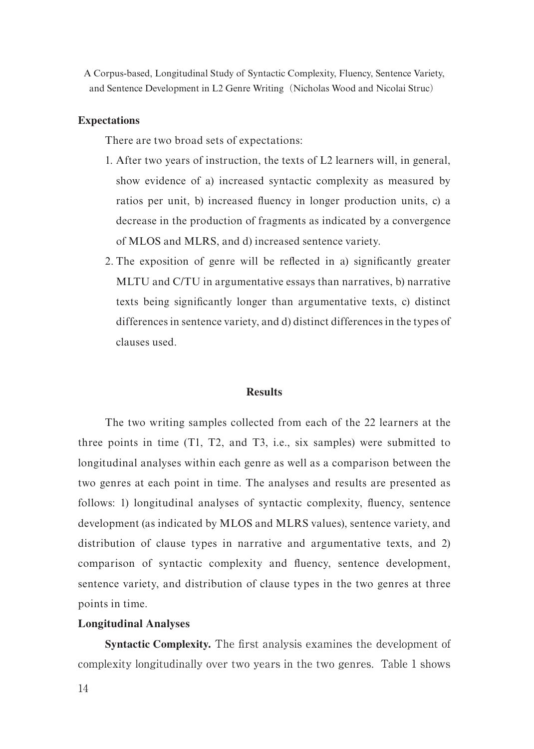## **Expectations**

There are two broad sets of expectations:

- 1. After two years of instruction, the texts of L2 learners will, in general, show evidence of a) increased syntactic complexity as measured by ratios per unit, b) increased fluency in longer production units, c) a decrease in the production of fragments as indicated by a convergence of MLOS and MLRS, and d) increased sentence variety.
- 2. The exposition of genre will be reflected in a) significantly greater MLTU and C/TU in argumentative essays than narratives, b) narrative texts being significantly longer than argumentative texts, c) distinct differences in sentence variety, and d) distinct differences in the types of clauses used.

#### **Results**

The two writing samples collected from each of the 22 learners at the three points in time (T1, T2, and T3, i.e., six samples) were submitted to longitudinal analyses within each genre as well as a comparison between the two genres at each point in time. The analyses and results are presented as follows: 1) longitudinal analyses of syntactic complexity, fluency, sentence development (as indicated by MLOS and MLRS values), sentence variety, and distribution of clause types in narrative and argumentative texts, and 2) comparison of syntactic complexity and fluency, sentence development, sentence variety, and distribution of clause types in the two genres at three points in time.

#### **Longitudinal Analyses**

**Syntactic Complexity.** The first analysis examines the development of complexity longitudinally over two years in the two genres. Table 1 shows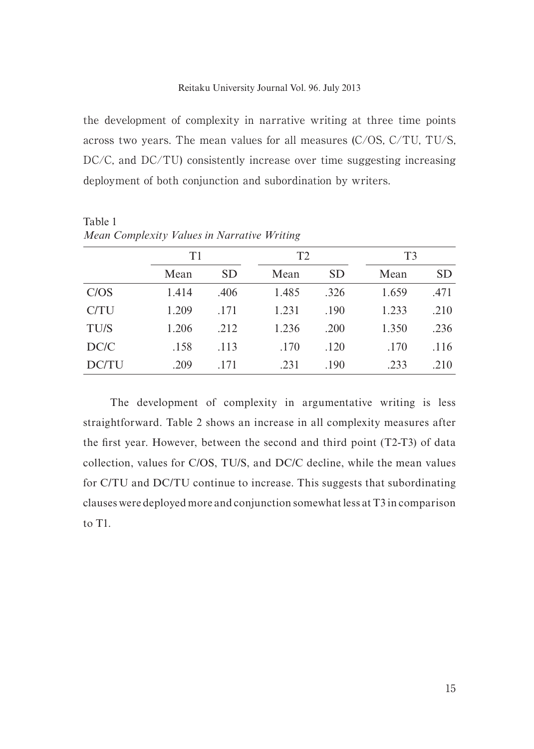the development of complexity in narrative writing at three time points across two years. The mean values for all measures (C/OS, C/TU, TU/S, DC/C, and DC/TU) consistently increase over time suggesting increasing deployment of both conjunction and subordination by writers.

| $\ldots$ | T1    |      | T <sub>2</sub> |           | T <sub>3</sub> |      |  |
|----------|-------|------|----------------|-----------|----------------|------|--|
|          | Mean  | SD.  | Mean           | <b>SD</b> | Mean           | SD.  |  |
| C/OS     | 1.414 | .406 | 1.485          | .326      | 1.659          | .471 |  |
| C/TU     | 1.209 | .171 | 1.231          | .190      | 1.233          | .210 |  |
| TU/S     | 1.206 | .212 | 1.236          | .200      | 1.350          | .236 |  |
| DC/C     | .158  | .113 | .170           | .120      | .170           | .116 |  |
| DC/TU    | .209  | .171 | .231           | .190      | .233           | .210 |  |

Table 1 *Mean Complexity Values in Narrative Writing* 

The development of complexity in argumentative writing is less straightforward. Table 2 shows an increase in all complexity measures after the first year. However, between the second and third point (T2-T3) of data collection, values for C/OS, TU/S, and DC/C decline, while the mean values for C/TU and DC/TU continue to increase. This suggests that subordinating clauses were deployed more and conjunction somewhat less at T3 in comparison to T1.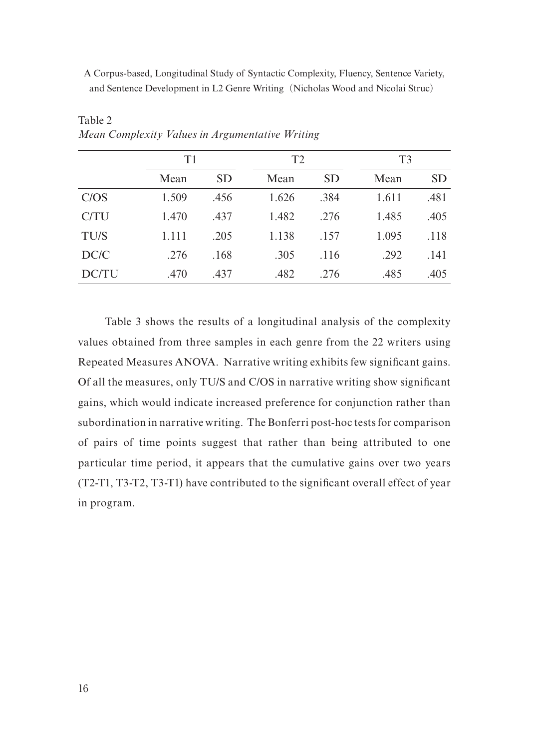|       | T1    |           |       |           | T <sub>3</sub> |      |  |  |
|-------|-------|-----------|-------|-----------|----------------|------|--|--|
|       | Mean  | <b>SD</b> | Mean  | <b>SD</b> | Mean           | SD   |  |  |
| C/OS  | 1.509 | .456      | 1.626 | .384      | 1.611          | .481 |  |  |
| C/TU  | 1.470 | .437      | 1.482 | .276      | 1.485          | .405 |  |  |
| TU/S  | 1.111 | .205      | 1.138 | .157      | 1.095          | .118 |  |  |
| DC/C  | .276  | .168      | .305  | .116      | .292           | .141 |  |  |
| DC/TU | .470  | .437      | .482  | .276      | .485           | .405 |  |  |

Table 2 *Mean Complexity Values in Argumentative Writing* 

Table 3 shows the results of a longitudinal analysis of the complexity values obtained from three samples in each genre from the 22 writers using Repeated Measures ANOVA. Narrative writing exhibits few significant gains. Of all the measures, only TU/S and C/OS in narrative writing show significant gains, which would indicate increased preference for conjunction rather than subordination in narrative writing. The Bonferri post-hoc tests for comparison of pairs of time points suggest that rather than being attributed to one particular time period, it appears that the cumulative gains over two years (T2-T1, T3-T2, T3-T1) have contributed to the significant overall effect of year in program.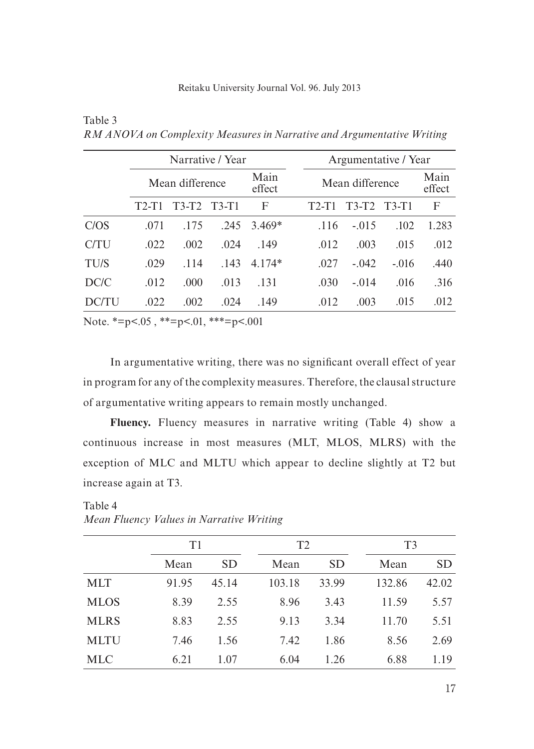|              |                 | Narrative / Year |                |          |                 | Argumentative / Year |         |       |  |
|--------------|-----------------|------------------|----------------|----------|-----------------|----------------------|---------|-------|--|
|              | Mean difference |                  | Main<br>effect |          | Mean difference |                      |         |       |  |
|              | $T2-T1$         | $T3-T2$          | T3-T1          | F        | $T2-T1$         | $T3-T2$              | $T3-T1$ | F     |  |
| C/OS         | .071            | .175             | .245           | $3.469*$ | .116            | $-.015$              | .102    | 1.283 |  |
| C/TU         | .022            | .002             | .024           | .149     | .012            | .003                 | .015    | .012  |  |
| TU/S         | .029            | .114             | .143           | $4.174*$ | .027            | $-.042$              | $-.016$ | .440  |  |
| DC/C         | .012            | .000             | .013           | .131     | .030            | $-.014$              | .016    | .316  |  |
| <b>DC/TU</b> | .022            | .002             | .024           | .149     | .012            | .003                 | .015    | .012  |  |

*RM ANOVA on Complexity Measures in Narrative and Argumentative Writing* 

Note. \*=p<.05, \*\*=p<.01, \*\*\*=p<.001

Table 3

In argumentative writing, there was no significant overall effect of year in program for any of the complexity measures. Therefore, the clausal structure of argumentative writing appears to remain mostly unchanged.

**Fluency.** Fluency measures in narrative writing (Table 4) show a continuous increase in most measures (MLT, MLOS, MLRS) with the exception of MLC and MLTU which appear to decline slightly at T2 but increase again at T3.

|             |       | T1        |        | T <sub>2</sub> |        | T <sub>3</sub> |  |  |
|-------------|-------|-----------|--------|----------------|--------|----------------|--|--|
|             | Mean  | <b>SD</b> | Mean   | <b>SD</b>      | Mean   | SD.            |  |  |
| <b>MLT</b>  | 91.95 | 45.14     | 103.18 | 33.99          | 132.86 | 42.02          |  |  |
| <b>MLOS</b> | 8.39  | 2.55      | 8.96   | 3.43           | 11.59  | 5.57           |  |  |
| <b>MLRS</b> | 8.83  | 2.55      | 9.13   | 3.34           | 11.70  | 5.51           |  |  |
| <b>MLTU</b> | 7.46  | 1.56      | 7.42   | 1.86           | 8.56   | 2.69           |  |  |
| <b>MLC</b>  | 6.21  | 1.07      | 6.04   | 1.26           | 6.88   | 1.19           |  |  |

Table 4 *Mean Fluency Values in Narrative Writing*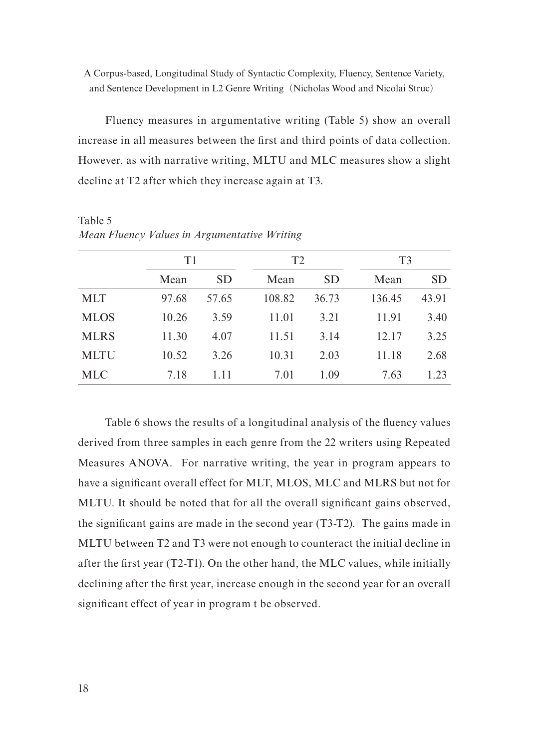Fluency measures in argumentative writing (Table 5) show an overall increase in all measures between the first and third points of data collection. However, as with narrative writing, MLTU and MLC measures show a slight decline at T2 after which they increase again at T3.

|             | T1    |           | T2     |           |        | T <sub>3</sub> |  |  |
|-------------|-------|-----------|--------|-----------|--------|----------------|--|--|
|             | Mean  | <b>SD</b> | Mean   | <b>SD</b> | Mean   | SD             |  |  |
| <b>MLT</b>  | 97.68 | 57.65     | 108.82 | 36.73     | 136.45 | 43.91          |  |  |
| <b>MLOS</b> | 10.26 | 3.59      | 11.01  | 3.21      | 11.91  | 3.40           |  |  |
| <b>MLRS</b> | 11.30 | 4.07      | 11.51  | 3.14      | 12.17  | 3.25           |  |  |
| <b>MLTU</b> | 10.52 | 3.26      | 10.31  | 2.03      | 11.18  | 2.68           |  |  |
| MLC         | 7.18  | 1.11      | 7.01   | 1.09      | 7.63   | 1.23           |  |  |

Table 5 *Mean Fluency Values in Argumentative Writing*

Table 6 shows the results of a longitudinal analysis of the fluency values derived from three samples in each genre from the 22 writers using Repeated Measures ANOVA. For narrative writing, the year in program appears to have a significant overall effect for MLT, MLOS, MLC and MLRS but not for MLTU. It should be noted that for all the overall significant gains observed, the significant gains are made in the second year (T3-T2). The gains made in MLTU between T2 and T3 were not enough to counteract the initial decline in after the first year (T2-T1). On the other hand, the MLC values, while initially declining after the first year, increase enough in the second year for an overall significant effect of year in program t be observed.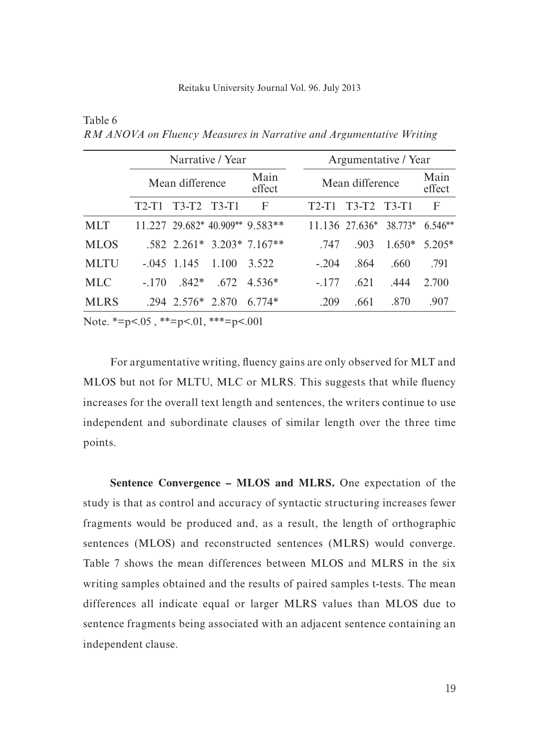|             |                 | Narrative / Year        |                |                                   |                 | Argumentative / Year |                              |                |           |
|-------------|-----------------|-------------------------|----------------|-----------------------------------|-----------------|----------------------|------------------------------|----------------|-----------|
|             | Mean difference |                         | Main<br>effect |                                   | Mean difference |                      |                              | Main<br>effect |           |
|             | $T2-T1$         | T3-T2 T3-T1             |                | F                                 |                 | $T2-T1$              | $T3-T2 T3-T1$                |                | F         |
| <b>MLT</b>  |                 |                         |                | $11.227$ 29.682* 40.909** 9.583** |                 |                      | $11.136$ 27.636 <sup>*</sup> | 38.773*        | $6.546**$ |
| <b>MLOS</b> |                 |                         |                | $.582$ 2.261* 3.203* 7.167**      |                 | .747                 | .903                         | $1.650*$       | $5.205*$  |
| <b>MLTU</b> |                 | $-045$ 1.145            | 1.100          | 3.522                             |                 | $-204$               | .864                         | .660           | .791      |
| MLC.        | $-170$          | 842*                    | .672.          | $4.536*$                          |                 | $-177$               | .621                         | .444           | 2.700     |
| <b>MLRS</b> |                 | $.294$ $.2576*$ $.2870$ |                | $6.774*$                          |                 | .209                 | .661                         | .870           | .907      |

*RM ANOVA on Fluency Measures in Narrative and Argumentative Writing* 

Note.  $*=p<.05$ ,  $*=p<.01$ ,  $**=p<.001$ 

Table 6

For argumentative writing, fluency gains are only observed for MLT and MLOS but not for MLTU, MLC or MLRS. This suggests that while fluency increases for the overall text length and sentences, the writers continue to use independent and subordinate clauses of similar length over the three time points.

**Sentence Convergence – MLOS and MLRS.** One expectation of the study is that as control and accuracy of syntactic structuring increases fewer fragments would be produced and, as a result, the length of orthographic sentences (MLOS) and reconstructed sentences (MLRS) would converge. Table 7 shows the mean differences between MLOS and MLRS in the six writing samples obtained and the results of paired samples t-tests. The mean differences all indicate equal or larger MLRS values than MLOS due to sentence fragments being associated with an adjacent sentence containing an independent clause.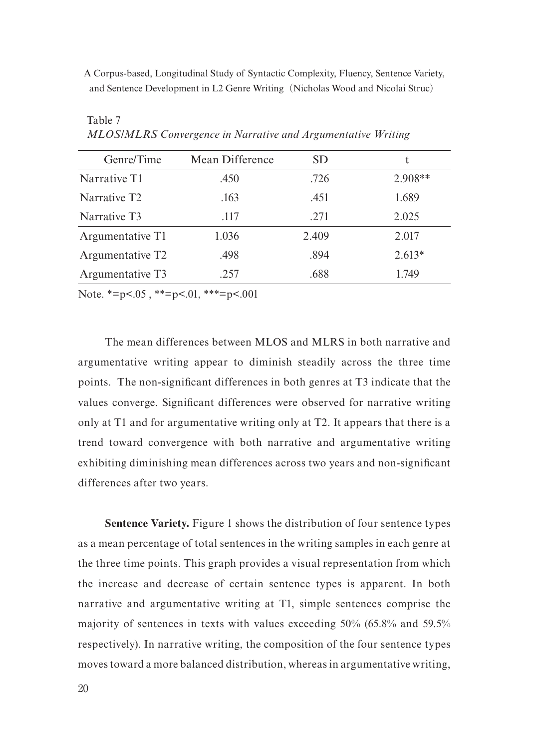| Genre/Time                   | Mean Difference | SD    | t         |
|------------------------------|-----------------|-------|-----------|
| Narrative T1                 | .450            | .726  | $2.908**$ |
| Narrative T <sub>2</sub>     | .163            | .451  | 1.689     |
| Narrative T3                 | .117            | .271  | 2.025     |
| Argumentative T1             | 1.036           | 2.409 | 2.017     |
| Argumentative T <sub>2</sub> | .498            | .894  | $2.613*$  |
| Argumentative T3             | .257            | .688  | 1.749     |

*MLOS/MLRS Convergence in Narrative and Argumentative Writing* 

Note. \*=p<.05, \*\*=p<.01, \*\*\*=p<.001

Table 7

The mean differences between MLOS and MLRS in both narrative and argumentative writing appear to diminish steadily across the three time points. The non-significant differences in both genres at T3 indicate that the values converge. Significant differences were observed for narrative writing only at T1 and for argumentative writing only at T2. It appears that there is a trend toward convergence with both narrative and argumentative writing exhibiting diminishing mean differences across two years and non-significant differences after two years.

**Sentence Variety.** Figure 1 shows the distribution of four sentence types as a mean percentage of total sentences in the writing samples in each genre at the three time points. This graph provides a visual representation from which the increase and decrease of certain sentence types is apparent. In both narrative and argumentative writing at T1, simple sentences comprise the majority of sentences in texts with values exceeding 50% (65.8% and 59.5% respectively). In narrative writing, the composition of the four sentence types moves toward a more balanced distribution, whereas in argumentative writing,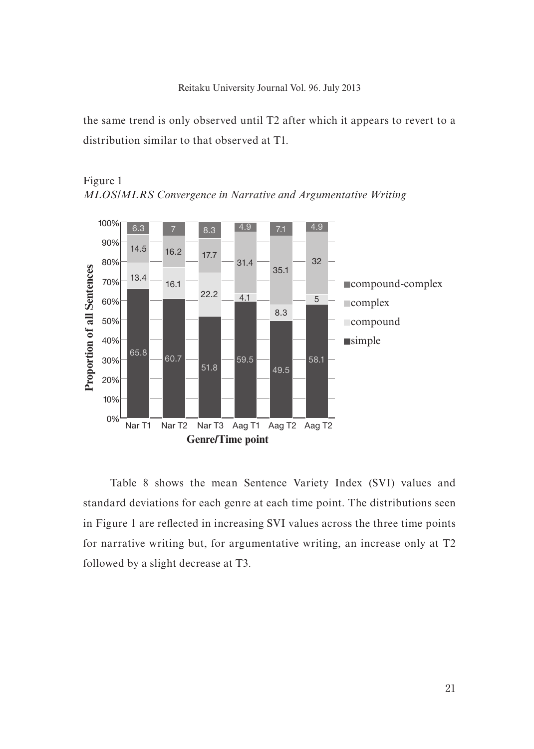the same trend is only observed until T2 after which it appears to revert to a distribution similar to that observed at T1.



Figure 1



Table 8 shows the mean Sentence Variety Index (SVI) values and standard deviations for each genre at each time point. The distributions seen in Figure 1 are reflected in increasing SVI values across the three time points for narrative writing but, for argumentative writing, an increase only at T2 followed by a slight decrease at T3.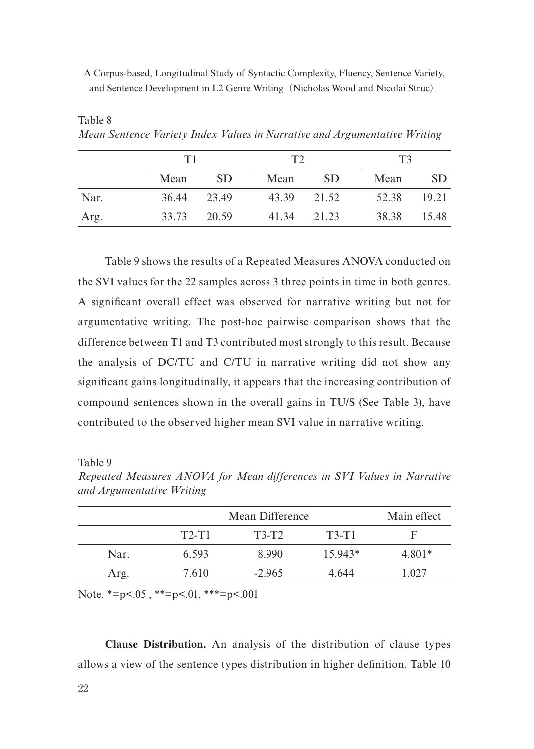|      |      | T1          |      | T <sup>2</sup> | T3    |             |  |
|------|------|-------------|------|----------------|-------|-------------|--|
|      | Mean | SD.         | Mean | SD.            | Mean  | SD.         |  |
| Nar. |      | 36.44 23.49 |      | 43.39 21.52    | 52.38 | 19.21       |  |
| Arg. |      | 33.73 20.59 |      | 41.34 21.23    |       | 38.38 15.48 |  |

*Mean Sentence Variety Index Values in Narrative and Argumentative Writing* 

Table 9 shows the results of a Repeated Measures ANOVA conducted on the SVI values for the 22 samples across 3 three points in time in both genres. A significant overall effect was observed for narrative writing but not for argumentative writing. The post-hoc pairwise comparison shows that the difference between T1 and T3 contributed most strongly to this result. Because the analysis of DC/TU and C/TU in narrative writing did not show any significant gains longitudinally, it appears that the increasing contribution of compound sentences shown in the overall gains in TU/S (See Table 3), have contributed to the observed higher mean SVI value in narrative writing.

Table 9

Table 8

|      | Mean Difference | Main effect |           |        |
|------|-----------------|-------------|-----------|--------|
|      | $T2-T1$         | $T3-T2$     | $T3-T1$   | F      |
| Nar. | 6.593           | 8.990       | $15.943*$ | 4.801* |
| Arg. | 7.610           | $-2.965$    | 4.644     | 1.027  |

*Repeated Measures ANOVA for Mean differences in SVI Values in Narrative and Argumentative Writing* 

Note. \*=p<.05, \*\*=p<.01, \*\*\*=p<.001

**Clause Distribution.** An analysis of the distribution of clause types allows a view of the sentence types distribution in higher definition. Table 10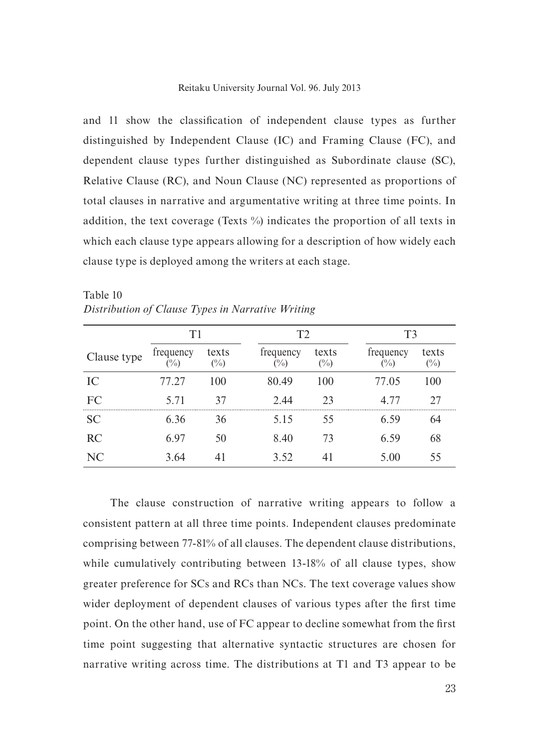and 11 show the classification of independent clause types as further distinguished by Independent Clause (IC) and Framing Clause (FC), and dependent clause types further distinguished as Subordinate clause (SC), Relative Clause (RC), and Noun Clause (NC) represented as proportions of total clauses in narrative and argumentative writing at three time points. In addition, the text coverage (Texts %) indicates the proportion of all texts in which each clause type appears allowing for a description of how widely each clause type is deployed among the writers at each stage.

|             | T1                  |              | T2                  |                 |                             | T3              |  |  |
|-------------|---------------------|--------------|---------------------|-----------------|-----------------------------|-----------------|--|--|
| Clause type | frequency<br>$(\%)$ | texts<br>(%) | frequency<br>$(\%)$ | texts<br>$(\%)$ | frequency<br>$\binom{0}{0}$ | texts<br>$(\%)$ |  |  |
| IC.         | 77.27               | 100          | 80.49               | 100             | 77.05                       | 100             |  |  |
| FC          | 5.71                | 37           | 2.44                | 23              | 4.77                        | 27              |  |  |
| SC.         | 6.36                | 36           | 5.15                | 55              | 6.59                        | 64              |  |  |
| RC          | 6.97                | 50           | 8.40                | 73              | 6.59                        | 68              |  |  |
| NC          | 3.64                |              | 3.52                | 41              | 5.00                        | 55              |  |  |

| Table 10                                          |  |  |
|---------------------------------------------------|--|--|
| Distribution of Clause Types in Narrative Writing |  |  |

The clause construction of narrative writing appears to follow a consistent pattern at all three time points. Independent clauses predominate comprising between 77-81% of all clauses. The dependent clause distributions, while cumulatively contributing between 13-18% of all clause types, show greater preference for SCs and RCs than NCs. The text coverage values show wider deployment of dependent clauses of various types after the first time point. On the other hand, use of FC appear to decline somewhat from the first time point suggesting that alternative syntactic structures are chosen for narrative writing across time. The distributions at T1 and T3 appear to be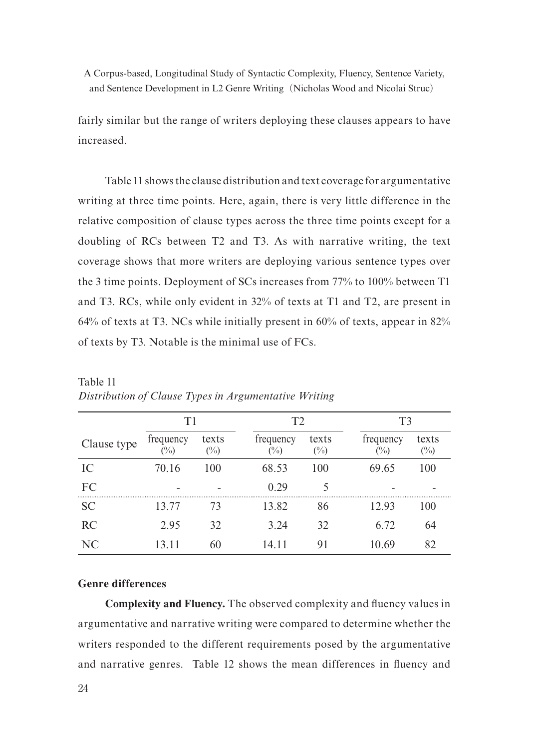fairly similar but the range of writers deploying these clauses appears to have increased.

Table 11 shows the clause distribution and text coverage for argumentative writing at three time points. Here, again, there is very little difference in the relative composition of clause types across the three time points except for a doubling of RCs between T2 and T3. As with narrative writing, the text coverage shows that more writers are deploying various sentence types over the 3 time points. Deployment of SCs increases from 77% to 100% between T1 and T3. RCs, while only evident in 32% of texts at T1 and T2, are present in 64% of texts at T3. NCs while initially present in 60% of texts, appear in 82% of texts by T3. Notable is the minimal use of FCs.

|             | T1               |                 | T2 |                             |                 | T3 |                             |                        |
|-------------|------------------|-----------------|----|-----------------------------|-----------------|----|-----------------------------|------------------------|
| Clause type | frequency<br>(%) | texts<br>$(\%)$ |    | frequency<br>$\binom{0}{0}$ | texts<br>$(\%)$ |    | frequency<br>$\binom{0}{0}$ | texts<br>$(^{0}/_{0})$ |
| IC          | 70.16            | 100             |    | 68.53                       | 100             |    | 69.65                       | 100                    |
| FC          |                  |                 |    | 0.29                        |                 |    |                             |                        |
| <b>SC</b>   | 13.77            | 73              |    | 13.82                       | 86              |    | 12.93                       | 100                    |
| RC          | 2.95             | 32              |    | 3.24                        | 32              |    | 6.72                        | 64                     |
| NC          | 13.11            | 60              |    | 14.11                       | 91              |    | 10.69                       | 82                     |

Table 11 *Distribution of Clause Types in Argumentative Writing*

## **Genre differences**

**Complexity and Fluency.** The observed complexity and fluency values in argumentative and narrative writing were compared to determine whether the writers responded to the different requirements posed by the argumentative and narrative genres. Table 12 shows the mean differences in fluency and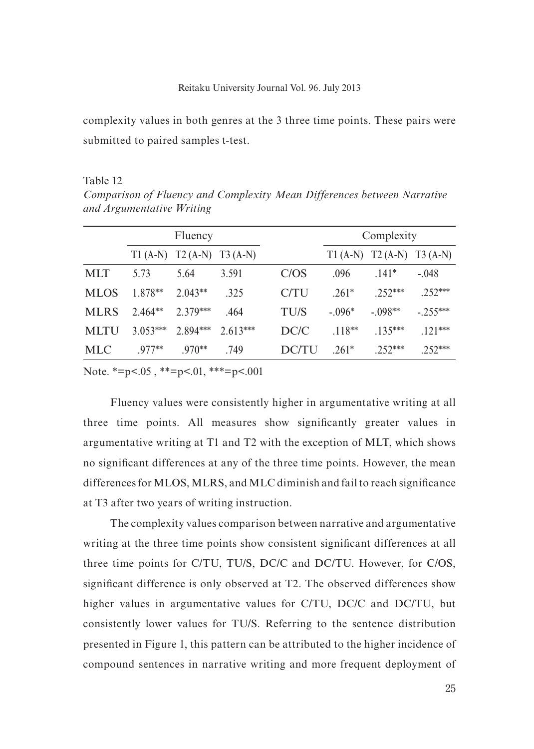complexity values in both genres at the 3 three time points. These pairs were submitted to paired samples t-test.

Table 12

*Comparison of Fluency and Complexity Mean Differences between Narrative and Argumentative Writing*

|             | Fluency    |                               |            |             | Complexity |                               |           |
|-------------|------------|-------------------------------|------------|-------------|------------|-------------------------------|-----------|
|             |            | $T1(A-N)$ $T2(A-N)$ $T3(A-N)$ |            |             |            | $T1(A-N)$ $T2(A-N)$ $T3(A-N)$ |           |
| <b>MLT</b>  | 5.73       | 5.64                          | 3.591      | C/OS        | .096       | $141*$                        | $-.048$   |
| <b>MLOS</b> | $1.878**$  | $2.043**$                     | .325       | C/TU        | $.261*$    | $252***$                      | $252***$  |
| <b>MLRS</b> | $2.464**$  | $2.379***$                    | .464       | <b>TU/S</b> | $-.096*$   | $-.098**$                     | $-255***$ |
| <b>MLTU</b> | $3.053***$ | $2.894***$                    | $2.613***$ | DC/C        | $118**$    | $135***$                      | $.121***$ |
| <b>MLC</b>  | $.977**$   | $.970**$                      | .749       | DC/TU       | $.261*$    | $252***$                      | $.252***$ |

Note.  $*=p<.05$ ,  $*=p<.01$ ,  $**=p<.001$ 

Fluency values were consistently higher in argumentative writing at all three time points. All measures show significantly greater values in argumentative writing at T1 and T2 with the exception of MLT, which shows no significant differences at any of the three time points. However, the mean differences for MLOS, MLRS, and MLC diminish and fail to reach significance at T3 after two years of writing instruction.

The complexity values comparison between narrative and argumentative writing at the three time points show consistent significant differences at all three time points for C/TU, TU/S, DC/C and DC/TU. However, for C/OS, significant difference is only observed at T2. The observed differences show higher values in argumentative values for C/TU, DC/C and DC/TU, but consistently lower values for TU/S. Referring to the sentence distribution presented in Figure 1, this pattern can be attributed to the higher incidence of compound sentences in narrative writing and more frequent deployment of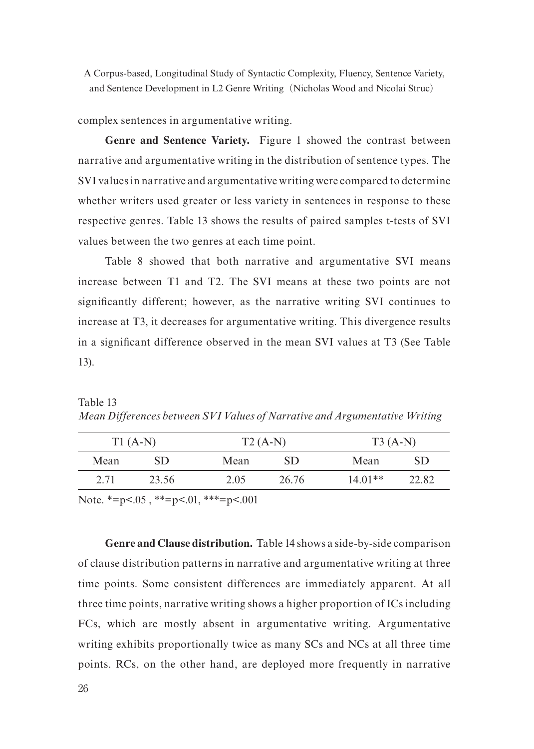complex sentences in argumentative writing.

**Genre and Sentence Variety.** Figure 1 showed the contrast between narrative and argumentative writing in the distribution of sentence types. The SVI values in narrative and argumentative writing were compared to determine whether writers used greater or less variety in sentences in response to these respective genres. Table 13 shows the results of paired samples t-tests of SVI values between the two genres at each time point.

Table 8 showed that both narrative and argumentative SVI means increase between T1 and T2. The SVI means at these two points are not significantly different; however, as the narrative writing SVI continues to increase at T3, it decreases for argumentative writing. This divergence results in a significant difference observed in the mean SVI values at T3 (See Table 13).

| Mean Differences between SVI Values of Narrative and Argumentative Writing |     |           |     |           |     |  |  |  |  |  |  |
|----------------------------------------------------------------------------|-----|-----------|-----|-----------|-----|--|--|--|--|--|--|
| $T1(A-N)$                                                                  |     | $T2(A-N)$ |     | $T3(A-N)$ |     |  |  |  |  |  |  |
| Mean                                                                       | SD. | Mean      | SD. | Mean      | SD. |  |  |  |  |  |  |

2.71 23.56 2.05 26.76 14.01\*\* 22.82

Table  $13 \, \text{C}$ *Mean Differences between SVI Values of Narrative and Argumentative Writing*

Note.  $*=p<.05$ ,  $*=p<.01$ ,  $**=p<.001$ 

**Genre and Clause distribution.** Table 14 shows a side-by-side comparison of clause distribution patterns in narrative and argumentative writing at three time points. Some consistent differences are immediately apparent. At all three time points, narrative writing shows a higher proportion of ICs including FCs, which are mostly absent in argumentative writing. Argumentative writing exhibits proportionally twice as many SCs and NCs at all three time points. RCs, on the other hand, are deployed more frequently in narrative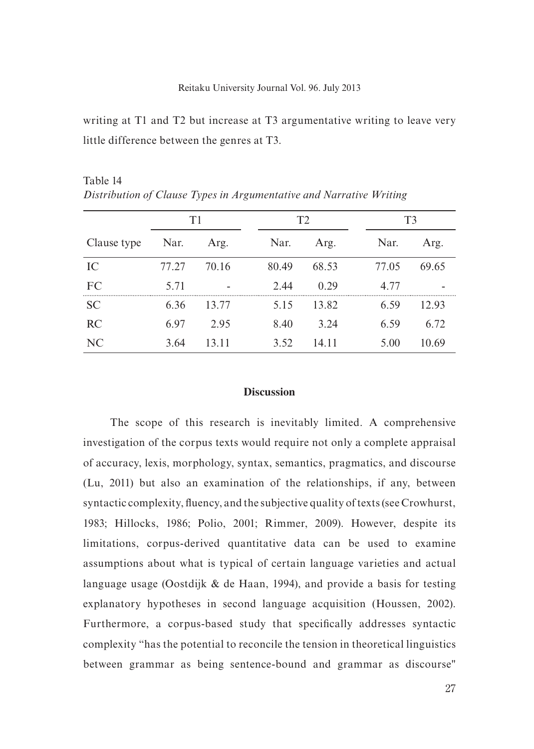writing at T1 and T2 but increase at T3 argumentative writing to leave very little difference between the genres at T3.

T1 T2 T3 Clause type Nar. Arg. Nar. Arg. Nar. Arg. Arg. IC 77.27 70.16 80.49 68.53 77.05 69.65 FC 5.71 - 2.44 0.29 4.77 -SC 6.36 13.77 5.15 13.82 6.59 12.93 RC 6.97 2.95 8.40 3.24 6.59 6.72 NC 3.64 13.11 3.52 14.11 5.00 10.69

Table 14 *Distribution of Clause Types in Argumentative and Narrative Writing*

## **Discussion**

The scope of this research is inevitably limited. A comprehensive investigation of the corpus texts would require not only a complete appraisal of accuracy, lexis, morphology, syntax, semantics, pragmatics, and discourse (Lu, 2011) but also an examination of the relationships, if any, between syntactic complexity, fluency, and the subjective quality of texts (see Crowhurst, 1983; Hillocks, 1986; Polio, 2001; Rimmer, 2009). However, despite its limitations, corpus-derived quantitative data can be used to examine assumptions about what is typical of certain language varieties and actual language usage (Oostdijk & de Haan, 1994), and provide a basis for testing explanatory hypotheses in second language acquisition (Houssen, 2002). Furthermore, a corpus-based study that specifically addresses syntactic complexity "has the potential to reconcile the tension in theoretical linguistics between grammar as being sentence-bound and grammar as discourse"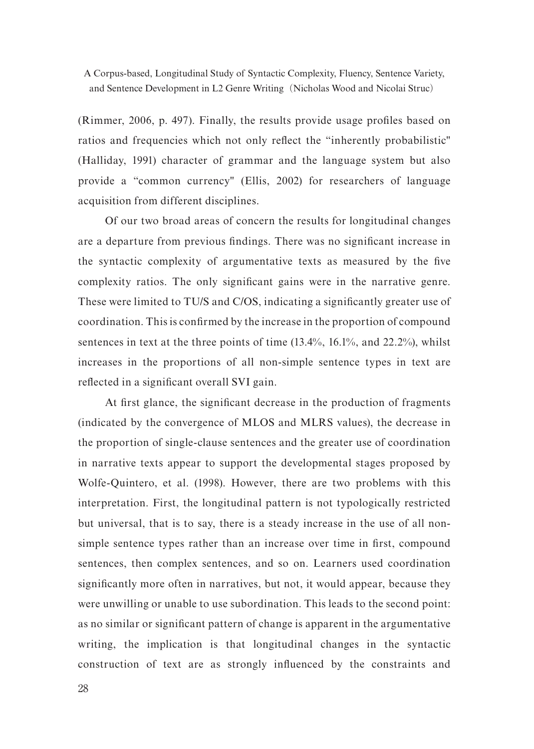(Rimmer, 2006, p. 497). Finally, the results provide usage profiles based on ratios and frequencies which not only reflect the "inherently probabilistic" (Halliday, 1991) character of grammar and the language system but also provide a "common currency" (Ellis, 2002) for researchers of language acquisition from different disciplines.

Of our two broad areas of concern the results for longitudinal changes are a departure from previous findings. There was no significant increase in the syntactic complexity of argumentative texts as measured by the five complexity ratios. The only significant gains were in the narrative genre. These were limited to TU/S and C/OS, indicating a significantly greater use of coordination. This is confirmed by the increase in the proportion of compound sentences in text at the three points of time (13.4%, 16.1%, and 22.2%), whilst increases in the proportions of all non-simple sentence types in text are reflected in a significant overall SVI gain.

At first glance, the significant decrease in the production of fragments (indicated by the convergence of MLOS and MLRS values), the decrease in the proportion of single-clause sentences and the greater use of coordination in narrative texts appear to support the developmental stages proposed by Wolfe-Quintero, et al. (1998). However, there are two problems with this interpretation. First, the longitudinal pattern is not typologically restricted but universal, that is to say, there is a steady increase in the use of all nonsimple sentence types rather than an increase over time in first, compound sentences, then complex sentences, and so on. Learners used coordination significantly more often in narratives, but not, it would appear, because they were unwilling or unable to use subordination. This leads to the second point: as no similar or significant pattern of change is apparent in the argumentative writing, the implication is that longitudinal changes in the syntactic construction of text are as strongly influenced by the constraints and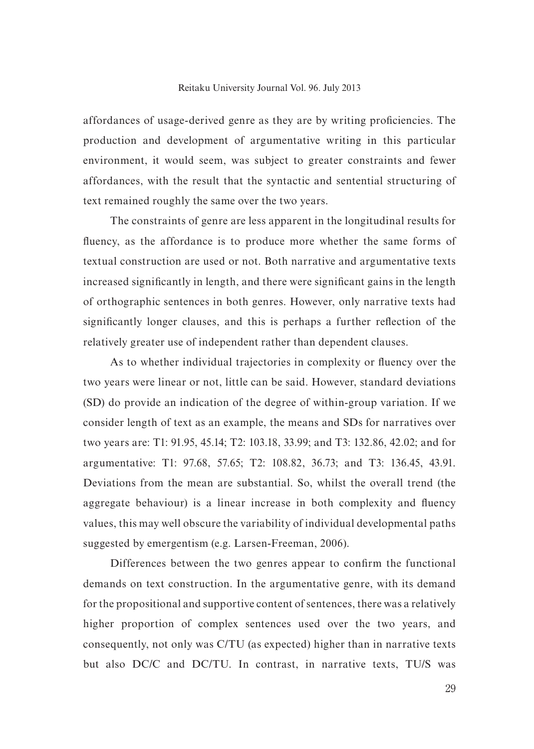#### Reitaku University Journal Vol. 96. July 2013

affordances of usage-derived genre as they are by writing proficiencies. The production and development of argumentative writing in this particular environment, it would seem, was subject to greater constraints and fewer affordances, with the result that the syntactic and sentential structuring of text remained roughly the same over the two years.

The constraints of genre are less apparent in the longitudinal results for fluency, as the affordance is to produce more whether the same forms of textual construction are used or not. Both narrative and argumentative texts increased significantly in length, and there were significant gains in the length of orthographic sentences in both genres. However, only narrative texts had significantly longer clauses, and this is perhaps a further reflection of the relatively greater use of independent rather than dependent clauses.

As to whether individual trajectories in complexity or fluency over the two years were linear or not, little can be said. However, standard deviations (SD) do provide an indication of the degree of within-group variation. If we consider length of text as an example, the means and SDs for narratives over two years are: T1: 91.95, 45.14; T2: 103.18, 33.99; and T3: 132.86, 42.02; and for argumentative: T1: 97.68, 57.65; T2: 108.82, 36.73; and T3: 136.45, 43.91. Deviations from the mean are substantial. So, whilst the overall trend (the aggregate behaviour) is a linear increase in both complexity and fluency values, this may well obscure the variability of individual developmental paths suggested by emergentism (e.g. Larsen-Freeman, 2006).

Differences between the two genres appear to confirm the functional demands on text construction. In the argumentative genre, with its demand for the propositional and supportive content of sentences, there was a relatively higher proportion of complex sentences used over the two years, and consequently, not only was C/TU (as expected) higher than in narrative texts but also DC/C and DC/TU. In contrast, in narrative texts, TU/S was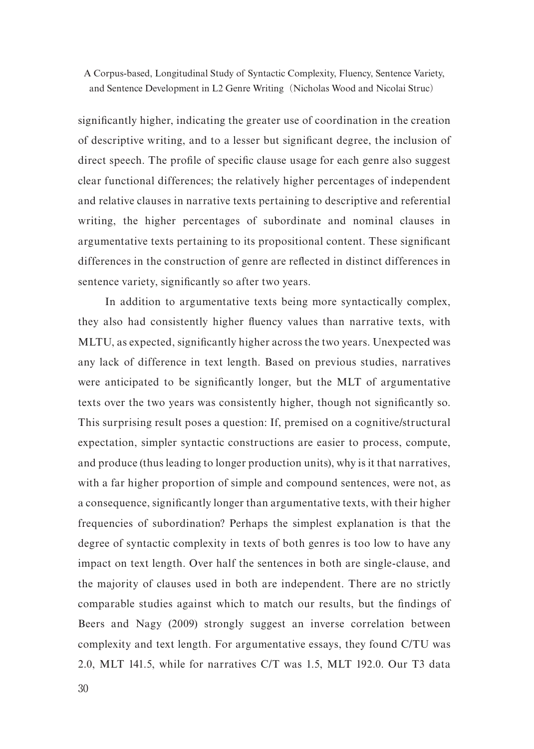significantly higher, indicating the greater use of coordination in the creation of descriptive writing, and to a lesser but significant degree, the inclusion of direct speech. The profile of specific clause usage for each genre also suggest clear functional differences; the relatively higher percentages of independent and relative clauses in narrative texts pertaining to descriptive and referential writing, the higher percentages of subordinate and nominal clauses in argumentative texts pertaining to its propositional content. These significant differences in the construction of genre are reflected in distinct differences in sentence variety, significantly so after two years.

In addition to argumentative texts being more syntactically complex, they also had consistently higher fluency values than narrative texts, with MLTU, as expected, significantly higher across the two years. Unexpected was any lack of difference in text length. Based on previous studies, narratives were anticipated to be significantly longer, but the MLT of argumentative texts over the two years was consistently higher, though not significantly so. This surprising result poses a question: If, premised on a cognitive/structural expectation, simpler syntactic constructions are easier to process, compute, and produce (thus leading to longer production units), why is it that narratives, with a far higher proportion of simple and compound sentences, were not, as a consequence, significantly longer than argumentative texts, with their higher frequencies of subordination? Perhaps the simplest explanation is that the degree of syntactic complexity in texts of both genres is too low to have any impact on text length. Over half the sentences in both are single-clause, and the majority of clauses used in both are independent. There are no strictly comparable studies against which to match our results, but the findings of Beers and Nagy (2009) strongly suggest an inverse correlation between complexity and text length. For argumentative essays, they found C/TU was 2.0, MLT 141.5, while for narratives C/T was 1.5, MLT 192.0. Our T3 data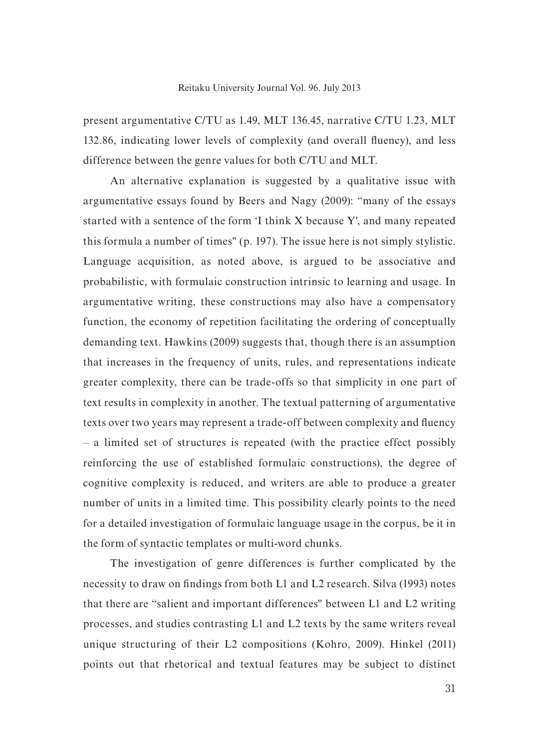present argumentative C/TU as 1.49, MLT 136.45, narrative C/TU 1.23, MLT 132.86, indicating lower levels of complexity (and overall fluency), and less difference between the genre values for both C/TU and MLT.

An alternative explanation is suggested by a qualitative issue with argumentative essays found by Beers and Nagy (2009): "many of the essays started with a sentence of the form 'I think X because Y', and many repeated this formula a number of times" (p. 197). The issue here is not simply stylistic. Language acquisition, as noted above, is argued to be associative and probabilistic, with formulaic construction intrinsic to learning and usage. In argumentative writing, these constructions may also have a compensatory function, the economy of repetition facilitating the ordering of conceptually demanding text. Hawkins (2009) suggests that, though there is an assumption that increases in the frequency of units, rules, and representations indicate greater complexity, there can be trade-offs so that simplicity in one part of text results in complexity in another. The textual patterning of argumentative texts over two years may represent a trade-off between complexity and fluency – a limited set of structures is repeated (with the practice effect possibly reinforcing the use of established formulaic constructions), the degree of cognitive complexity is reduced, and writers are able to produce a greater number of units in a limited time. This possibility clearly points to the need for a detailed investigation of formulaic language usage in the corpus, be it in the form of syntactic templates or multi-word chunks.

The investigation of genre differences is further complicated by the necessity to draw on findings from both L1 and L2 research. Silva (1993) notes that there are "salient and important differences" between L1 and L2 writing processes, and studies contrasting L1 and L2 texts by the same writers reveal unique structuring of their L2 compositions (Kohro, 2009). Hinkel (2011) points out that rhetorical and textual features may be subject to distinct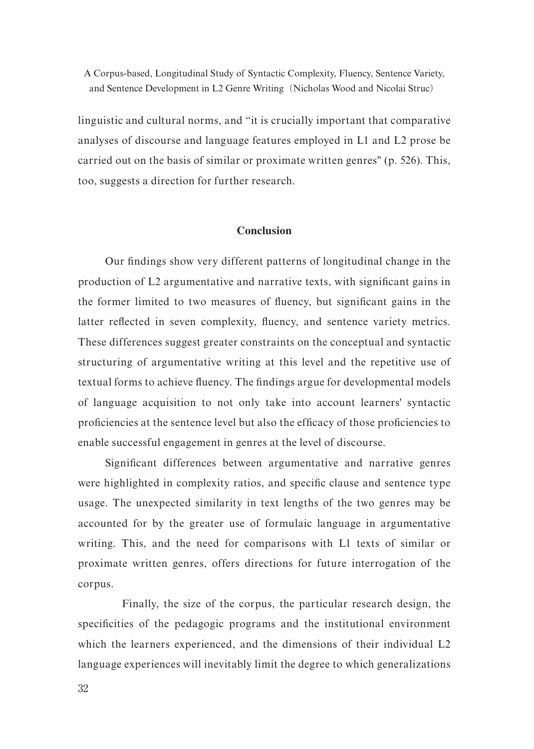linguistic and cultural norms, and "it is crucially important that comparative analyses of discourse and language features employed in L1 and L2 prose be carried out on the basis of similar or proximate written genres" (p. 526). This, too, suggests a direction for further research.

## **Conclusion**

Our findings show very different patterns of longitudinal change in the production of L2 argumentative and narrative texts, with significant gains in the former limited to two measures of fluency, but significant gains in the latter reflected in seven complexity, fluency, and sentence variety metrics. These differences suggest greater constraints on the conceptual and syntactic structuring of argumentative writing at this level and the repetitive use of textual forms to achieve fluency. The findings argue for developmental models of language acquisition to not only take into account learners' syntactic proficiencies at the sentence level but also the efficacy of those proficiencies to enable successful engagement in genres at the level of discourse.

Significant differences between argumentative and narrative genres were highlighted in complexity ratios, and specific clause and sentence type usage. The unexpected similarity in text lengths of the two genres may be accounted for by the greater use of formulaic language in argumentative writing. This, and the need for comparisons with L1 texts of similar or proximate written genres, offers directions for future interrogation of the corpus.

Finally, the size of the corpus, the particular research design, the specificities of the pedagogic programs and the institutional environment which the learners experienced, and the dimensions of their individual L2 language experiences will inevitably limit the degree to which generalizations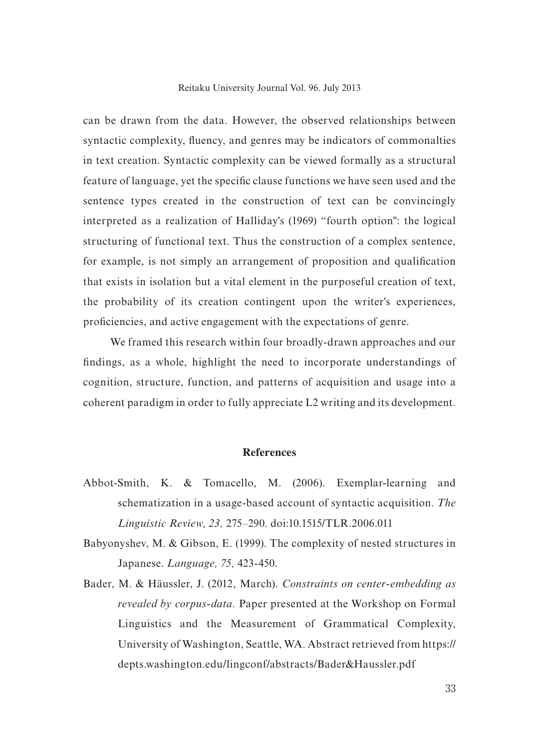#### Reitaku University Journal Vol. 96. July 2013

can be drawn from the data. However, the observed relationships between syntactic complexity, fluency, and genres may be indicators of commonalties in text creation. Syntactic complexity can be viewed formally as a structural feature of language, yet the specific clause functions we have seen used and the sentence types created in the construction of text can be convincingly interpreted as a realization of Halliday's (1969) "fourth option": the logical structuring of functional text. Thus the construction of a complex sentence, for example, is not simply an arrangement of proposition and qualification that exists in isolation but a vital element in the purposeful creation of text, the probability of its creation contingent upon the writer's experiences, proficiencies, and active engagement with the expectations of genre.

We framed this research within four broadly-drawn approaches and our findings, as a whole, highlight the need to incorporate understandings of cognition, structure, function, and patterns of acquisition and usage into a coherent paradigm in order to fully appreciate L2 writing and its development.

#### **References**

- Abbot-Smith, K. & Tomacello, M. (2006). Exemplar-learning and schematization in a usage-based account of syntactic acquisition. *The Linguistic Review, 23,* 275–290. doi:10.1515/TLR.2006.011
- Babyonyshev, M. & Gibson, E. (1999). The complexity of nested structures in Japanese. *Language, 75,* 423-450.
- Bader, M. & Häussler, J. (2012, March). *Constraints on center-embedding as revealed by corpus-data.* Paper presented at the Workshop on Formal Linguistics and the Measurement of Grammatical Complexity, University of Washington, Seattle, WA. Abstract retrieved from https:// depts.washington.edu/lingconf/abstracts/Bader&Haussler.pdf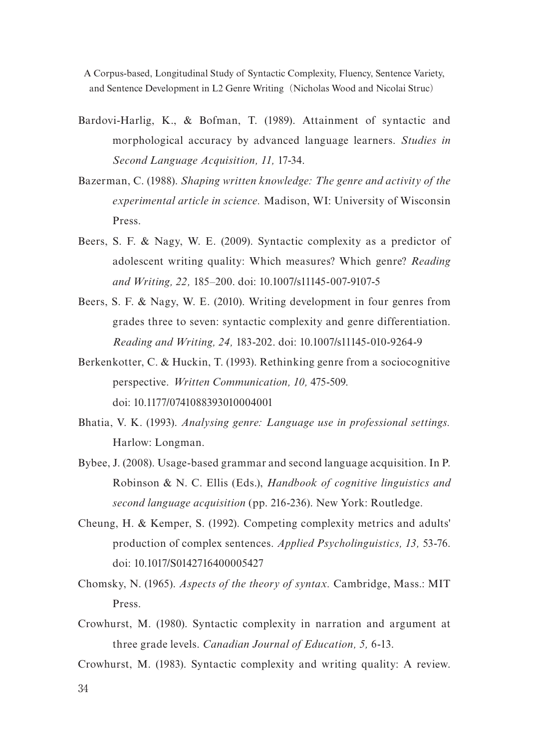- Bardovi-Harlig, K., & Bofman, T. (1989). Attainment of syntactic and morphological accuracy by advanced language learners. *Studies in Second Language Acquisition, 11,* 17-34.
- Bazerman, C. (1988). *Shaping written knowledge: The genre and activity of the experimental article in science.* Madison, WI: University of Wisconsin Press.
- Beers, S. F. & Nagy, W. E. (2009). Syntactic complexity as a predictor of adolescent writing quality: Which measures? Which genre? *Reading and Writing, 22,* 185–200. doi: 10.1007/s11145-007-9107-5
- Beers, S. F. & Nagy, W. E. (2010). Writing development in four genres from grades three to seven: syntactic complexity and genre differentiation. *Reading and Writing, 24,* 183-202. doi: 10.1007/s11145-010-9264-9
- Berkenkotter, C. & Huckin, T. (1993). Rethinking genre from a sociocognitive perspective. *Written Communication, 10,* 475-509. doi: 10.1177/0741088393010004001
- Bhatia, V. K. (1993). *Analysing genre: Language use in professional settings.* Harlow: Longman.
- Bybee, J. (2008). Usage-based grammar and second language acquisition. In P. Robinson & N. C. Ellis (Eds.), *Handbook of cognitive linguistics and second language acquisition* (pp. 216-236). New York: Routledge.
- Cheung, H. & Kemper, S. (1992). Competing complexity metrics and adults' production of complex sentences. *Applied Psycholinguistics, 13,* 53-76. doi: 10.1017/S0142716400005427
- Chomsky, N. (1965). *Aspects of the theory of syntax.* Cambridge, Mass.: MIT Press.
- Crowhurst, M. (1980). Syntactic complexity in narration and argument at three grade levels. *Canadian Journal of Education, 5,* 6-13.
- Crowhurst, M. (1983). Syntactic complexity and writing quality: A review.

34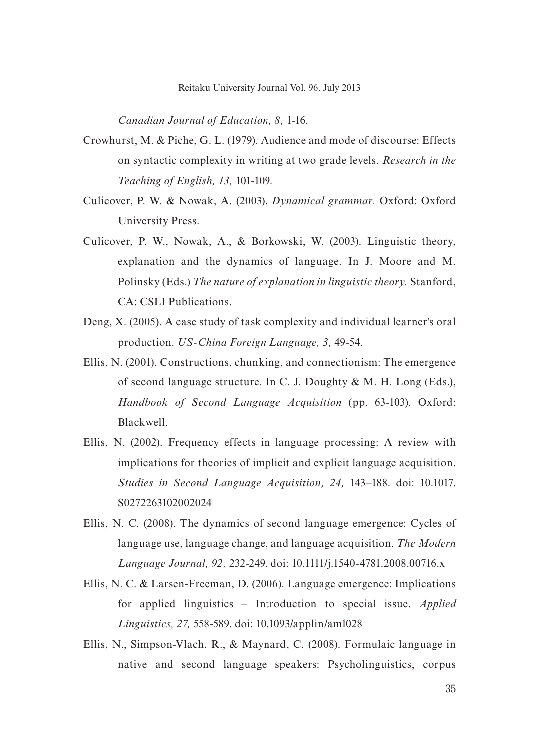*Canadian Journal of Education, 8,* 1-16.

- Crowhurst, M. & Piche, G. L. (1979). Audience and mode of discourse: Effects on syntactic complexity in writing at two grade levels. *Research in the Teaching of English, 13,* 101-109.
- Culicover, P. W. & Nowak, A. (2003). *Dynamical grammar.* Oxford: Oxford University Press.
- Culicover, P. W., Nowak, A., & Borkowski, W. (2003). Linguistic theory, explanation and the dynamics of language. In J. Moore and M. Polinsky (Eds.) *The nature of explanation in linguistic theory.* Stanford, CA: CSLI Publications.
- Deng, X. (2005). A case study of task complexity and individual learner's oral production. *US-China Foreign Language, 3,* 49-54.
- Ellis, N. (2001). Constructions, chunking, and connectionism: The emergence of second language structure. In C. J. Doughty & M. H. Long (Eds.), *Handbook of Second Language Acquisition* (pp. 63-103). Oxford: Blackwell.
- Ellis, N. (2002). Frequency effects in language processing: A review with implications for theories of implicit and explicit language acquisition. *Studies in Second Language Acquisition, 24,* 143–188. doi: 10.1017. S0272263102002024
- Ellis, N. C. (2008). The dynamics of second language emergence: Cycles of language use, language change, and language acquisition. *The Modern Language Journal, 92,* 232-249. doi: 10.1111/j.1540-4781.2008.00716.x
- Ellis, N. C. & Larsen-Freeman, D. (2006). Language emergence: Implications for applied linguistics – Introduction to special issue. *Applied Linguistics, 27,* 558-589. doi: 10.1093/applin/aml028
- Ellis, N., Simpson-Vlach, R., & Maynard, C. (2008). Formulaic language in native and second language speakers: Psycholinguistics, corpus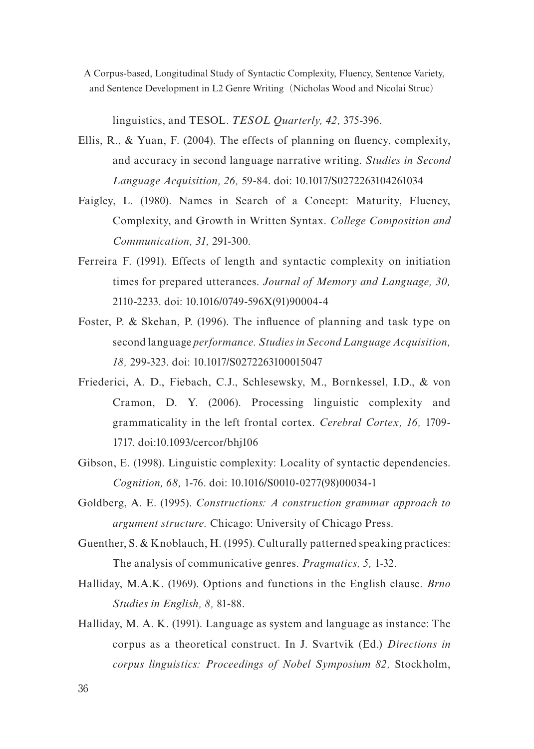linguistics, and TESOL. *TESOL Quarterly, 42,* 375-396.

- Ellis, R., & Yuan, F. (2004). The effects of planning on fluency, complexity, and accuracy in second language narrative writing. *Studies in Second Language Acquisition, 26,* 59-84. doi: 10.1017/S0272263104261034
- Faigley, L. (1980). Names in Search of a Concept: Maturity, Fluency, Complexity, and Growth in Written Syntax. *College Composition and Communication, 31,* 291-300.
- Ferreira F. (1991). Effects of length and syntactic complexity on initiation times for prepared utterances. *Journal of Memory and Language, 30,*  2110-2233. doi: 10.1016/0749-596X(91)90004-4
- Foster, P. & Skehan, P. (1996). The influence of planning and task type on second language *performance. Studies in Second Language Acquisition, 18,* 299-323. doi: 10.1017/S0272263100015047
- Friederici, A. D., Fiebach, C.J., Schlesewsky, M., Bornkessel, I.D., & von Cramon, D. Y. (2006). Processing linguistic complexity and grammaticality in the left frontal cortex. *Cerebral Cortex, 16,* 1709- 1717. doi:10.1093/cercor/bhj106
- Gibson, E. (1998). Linguistic complexity: Locality of syntactic dependencies. *Cognition, 68,* 1-76. doi: 10.1016/S0010-0277(98)00034-1
- Goldberg, A. E. (1995). *Constructions: A construction grammar approach to argument structure.* Chicago: University of Chicago Press.
- Guenther, S. & Knoblauch, H. (1995). Culturally patterned speaking practices: The analysis of communicative genres. *Pragmatics, 5,* 1-32.
- Halliday, M.A.K. (1969). Options and functions in the English clause. *Brno Studies in English, 8,* 81-88.
- Halliday, M. A. K. (1991). Language as system and language as instance: The corpus as a theoretical construct. In J. Svartvik (Ed.) *Directions in corpus linguistics: Proceedings of Nobel Symposium 82,* Stockholm,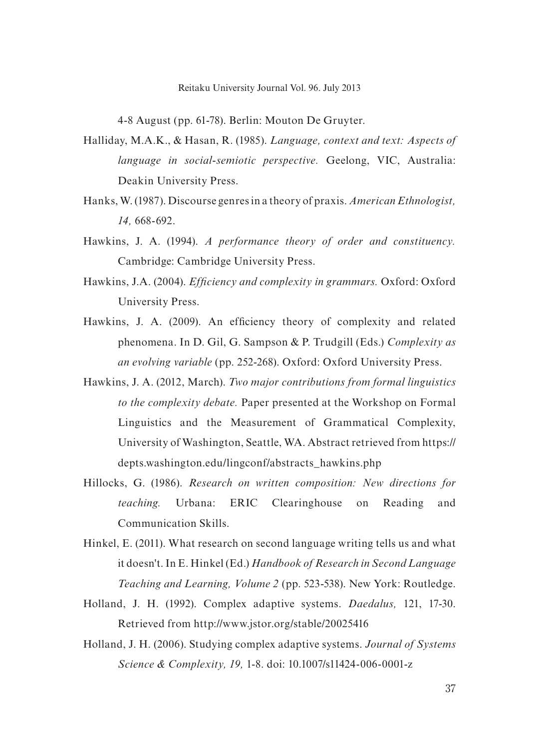4-8 August (pp. 61-78). Berlin: Mouton De Gruyter.

- Halliday, M.A.K., & Hasan, R. (1985). *Language, context and text: Aspects of language in social-semiotic perspective.* Geelong, VIC, Australia: Deakin University Press.
- Hanks, W. (1987). Discourse genres in a theory of praxis. *American Ethnologist, 14,* 668-692.
- Hawkins, J. A. (1994). *A performance theory of order and constituency.*  Cambridge: Cambridge University Press.
- Hawkins, J.A. (2004). *Efficiency and complexity in grammars.* Oxford: Oxford University Press.
- Hawkins, J. A. (2009). An efficiency theory of complexity and related phenomena. In D. Gil, G. Sampson & P. Trudgill (Eds.) *Complexity as an evolving variable* (pp. 252-268). Oxford: Oxford University Press.
- Hawkins, J. A. (2012, March). *Two major contributions from formal linguistics to the complexity debate.* Paper presented at the Workshop on Formal Linguistics and the Measurement of Grammatical Complexity, University of Washington, Seattle, WA. Abstract retrieved from https:// depts.washington.edu/lingconf/abstracts\_hawkins.php
- Hillocks, G. (1986). *Research on written composition: New directions for teaching.* Urbana: ERIC Clearinghouse on Reading and Communication Skills.
- Hinkel, E. (2011). What research on second language writing tells us and what it doesn't. In E. Hinkel (Ed.) *Handbook of Research in Second Language Teaching and Learning, Volume 2* (pp. 523-538). New York: Routledge.
- Holland, J. H. (1992). Complex adaptive systems. *Daedalus,* 121, 17-30. Retrieved from http://www.jstor.org/stable/20025416
- Holland, J. H. (2006). Studying complex adaptive systems. *Journal of Systems Science & Complexity, 19,* 1-8. doi: 10.1007/s11424-006-0001-z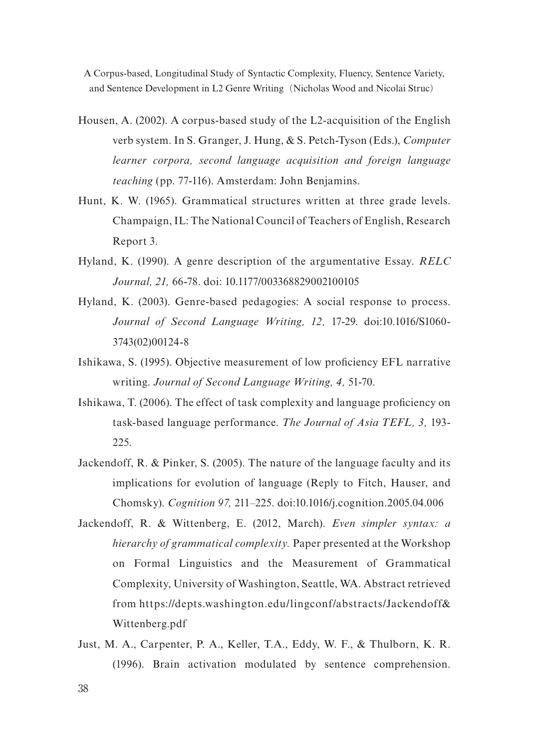- Housen, A. (2002). A corpus-based study of the L2-acquisition of the English verb system. In S. Granger, J. Hung, & S. Petch-Tyson (Eds.), *Computer learner corpora, second language acquisition and foreign language teaching* (pp. 77-116). Amsterdam: John Benjamins.
- Hunt, K. W. (1965). Grammatical structures written at three grade levels. Champaign, IL: The National Council of Teachers of English, Research Report 3.
- Hyland, K. (1990). A genre description of the argumentative Essay. *RELC Journal, 21,* 66-78. doi: 10.1177/003368829002100105
- Hyland, K. (2003). Genre-based pedagogies: A social response to process. *Journal of Second Language Writing, 12,* 17-29. doi:10.1016/S1060- 3743(02)00124-8
- Ishikawa, S. (1995). Objective measurement of low proficiency EFL narrative writing. *Journal of Second Language Writing, 4,* 51-70.
- Ishikawa, T. (2006). The effect of task complexity and language proficiency on task-based language performance. *The Journal of Asia TEFL, 3,* 193- 225.
- Jackendoff, R. & Pinker, S. (2005). The nature of the language faculty and its implications for evolution of language (Reply to Fitch, Hauser, and Chomsky). *Cognition 97,* 211–225. doi:10.1016/j.cognition.2005.04.006
- Jackendoff, R. & Wittenberg, E. (2012, March). *Even simpler syntax: a hierarchy of grammatical complexity.* Paper presented at the Workshop on Formal Linguistics and the Measurement of Grammatical Complexity, University of Washington, Seattle, WA. Abstract retrieved from https://depts.washington.edu/lingconf/abstracts/Jackendoff& Wittenberg.pdf
- Just, M. A., Carpenter, P. A., Keller, T.A., Eddy, W. F., & Thulborn, K. R. (1996). Brain activation modulated by sentence comprehension.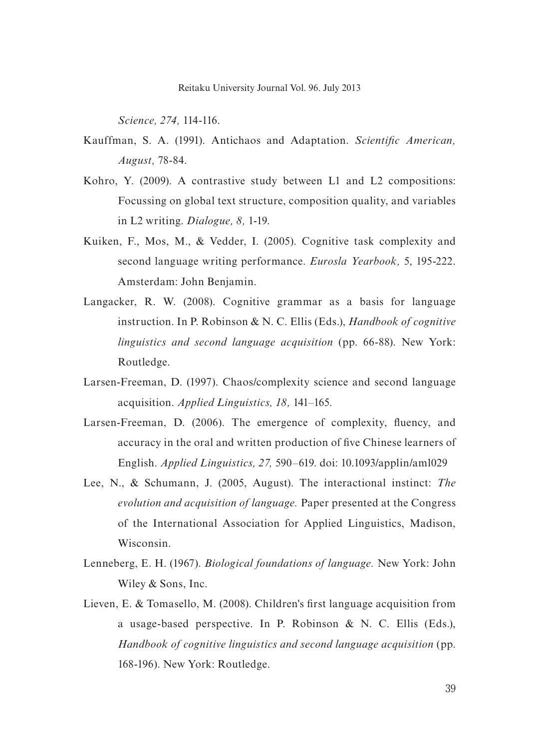*Science, 274,* 114-116.

- Kauffman, S. A. (1991). Antichaos and Adaptation. *Scientific American, August,* 78-84.
- Kohro, Y. (2009). A contrastive study between L1 and L2 compositions: Focussing on global text structure, composition quality, and variables in L2 writing. *Dialogue, 8,* 1-19.
- Kuiken, F., Mos, M., & Vedder, I. (2005). Cognitive task complexity and second language writing performance. *Eurosla Yearbook,* 5, 195-222. Amsterdam: John Benjamin.
- Langacker, R. W. (2008). Cognitive grammar as a basis for language instruction. In P. Robinson & N. C. Ellis (Eds.), *Handbook of cognitive linguistics and second language acquisition* (pp. 66-88). New York: Routledge.
- Larsen-Freeman, D. (1997). Chaos/complexity science and second language acquisition. *Applied Linguistics, 18,* 141–165.
- Larsen-Freeman, D. (2006). The emergence of complexity, fluency, and accuracy in the oral and written production of five Chinese learners of English. *Applied Linguistics, 27,* 590–619. doi: 10.1093/applin/aml029
- Lee, N., & Schumann, J. (2005, August). The interactional instinct: *The evolution and acquisition of language.* Paper presented at the Congress of the International Association for Applied Linguistics, Madison, Wisconsin.
- Lenneberg, E. H. (1967). *Biological foundations of language.* New York: John Wiley & Sons, Inc.
- Lieven, E. & Tomasello, M. (2008). Children's first language acquisition from a usage-based perspective. In P. Robinson & N. C. Ellis (Eds.), *Handbook of cognitive linguistics and second language acquisition* (pp. 168-196). New York: Routledge.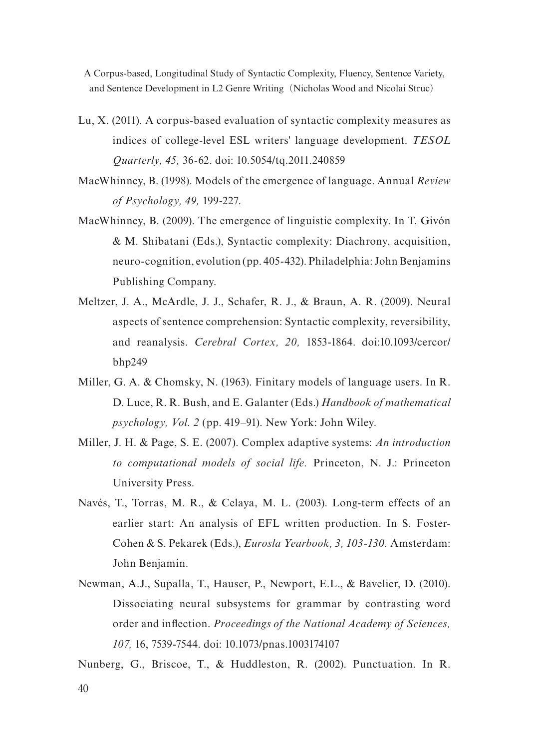- Lu, X. (2011). A corpus-based evaluation of syntactic complexity measures as indices of college-level ESL writers' language development. *TESOL Quarterly, 45,* 36-62. doi: 10.5054/tq.2011.240859
- MacWhinney, B. (1998). Models of the emergence of language. Annual *Review of Psychology, 49,* 199-227.
- MacWhinney, B. (2009). The emergence of linguistic complexity. In T. Givón & M. Shibatani (Eds.), Syntactic complexity: Diachrony, acquisition, neuro-cognition, evolution (pp. 405-432). Philadelphia: John Benjamins Publishing Company.
- Meltzer, J. A., McArdle, J. J., Schafer, R. J., & Braun, A. R. (2009). Neural aspects of sentence comprehension: Syntactic complexity, reversibility, and reanalysis. *Cerebral Cortex, 20,* 1853-1864. doi:10.1093/cercor/ bhp249
- Miller, G. A. & Chomsky, N. (1963). Finitary models of language users. In R. D. Luce, R. R. Bush, and E. Galanter (Eds.) *Handbook of mathematical psychology, Vol. 2* (pp. 419–91). New York: John Wiley.
- Miller, J. H. & Page, S. E. (2007). Complex adaptive systems: *An introduction to computational models of social life.* Princeton, N. J.: Princeton University Press.
- Navés, T., Torras, M. R., & Celaya, M. L. (2003). Long-term effects of an earlier start: An analysis of EFL written production. In S. Foster-Cohen & S. Pekarek (Eds.), *Eurosla Yearbook, 3, 103-130.* Amsterdam: John Benjamin.
- Newman, A.J., Supalla, T., Hauser, P., Newport, E.L., & Bavelier, D. (2010). Dissociating neural subsystems for grammar by contrasting word order and inflection. *Proceedings of the National Academy of Sciences, 107,* 16, 7539-7544. doi: 10.1073/pnas.1003174107

Nunberg, G., Briscoe, T., & Huddleston, R. (2002). Punctuation. In R.

40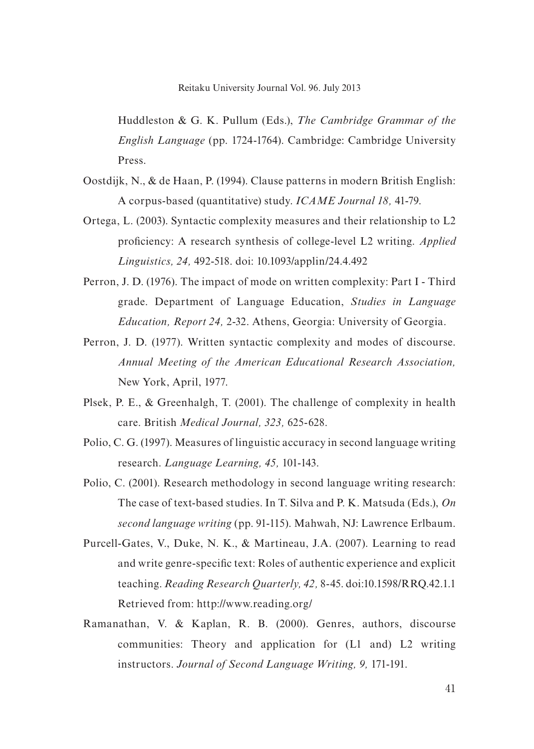Huddleston & G. K. Pullum (Eds.), *The Cambridge Grammar of the English Language* (pp. 1724-1764). Cambridge: Cambridge University Press.

- Oostdijk, N., & de Haan, P. (1994). Clause patterns in modern British English: A corpus-based (quantitative) study. *ICAME Journal 18,* 41-79.
- Ortega, L. (2003). Syntactic complexity measures and their relationship to L2 proficiency: A research synthesis of college-level L2 writing. *Applied Linguistics, 24,* 492-518. doi: 10.1093/applin/24.4.492
- Perron, J. D. (1976). The impact of mode on written complexity: Part I Third grade. Department of Language Education, *Studies in Language Education, Report 24,* 2-32. Athens, Georgia: University of Georgia.
- Perron, J. D. (1977). Written syntactic complexity and modes of discourse. *Annual Meeting of the American Educational Research Association,*  New York, April, 1977.
- Plsek, P. E., & Greenhalgh, T. (2001). The challenge of complexity in health care. British *Medical Journal, 323,* 625-628.
- Polio, C. G. (1997). Measures of linguistic accuracy in second language writing research. *Language Learning, 45,* 101-143.
- Polio, C. (2001). Research methodology in second language writing research: The case of text-based studies. In T. Silva and P. K. Matsuda (Eds.), *On second language writing* (pp. 91-115). Mahwah, NJ: Lawrence Erlbaum.
- Purcell-Gates, V., Duke, N. K., & Martineau, J.A. (2007). Learning to read and write genre-specific text: Roles of authentic experience and explicit teaching. *Reading Research Quarterly, 42,* 8-45. doi:10.1598/RRQ.42.1.1 Retrieved from: http://www.reading.org/
- Ramanathan, V. & Kaplan, R. B. (2000). Genres, authors, discourse communities: Theory and application for (L1 and) L2 writing instructors. *Journal of Second Language Writing, 9,* 171-191.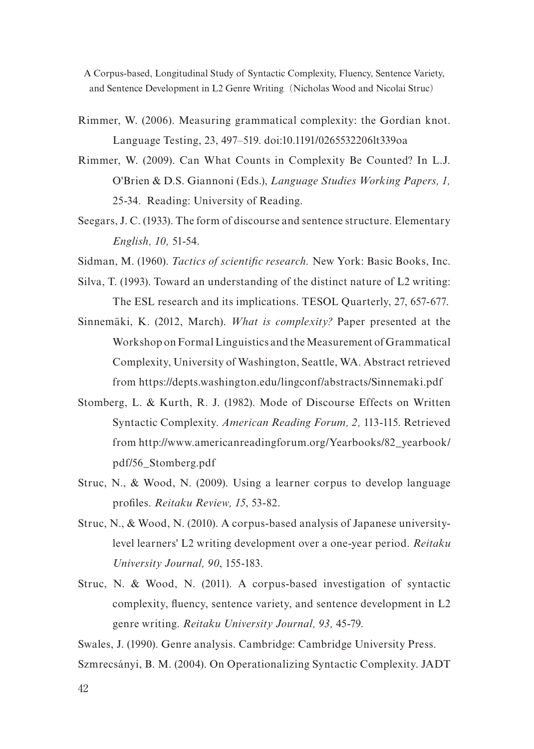- Rimmer, W. (2006). Measuring grammatical complexity: the Gordian knot. Language Testing, 23, 497–519. doi:10.1191/0265532206lt339oa
- Rimmer, W. (2009). Can What Counts in Complexity Be Counted? In L.J. O'Brien & D.S. Giannoni (Eds.), *Language Studies Working Papers, 1,*  25-34. Reading: University of Reading.
- Seegars, J. C. (1933). The form of discourse and sentence structure. Elementary *English, 10,* 51-54.

Sidman, M. (1960). *Tactics of scientific research.* New York: Basic Books, Inc.

- Silva, T. (1993). Toward an understanding of the distinct nature of L2 writing: The ESL research and its implications. TESOL Quarterly, 27, 657-677.
- Sinnemäki, K. (2012, March). *What is complexity?* Paper presented at the Workshop on Formal Linguistics and the Measurement of Grammatical Complexity, University of Washington, Seattle, WA. Abstract retrieved from https://depts.washington.edu/lingconf/abstracts/Sinnemaki.pdf
- Stomberg, L. & Kurth, R. J. (1982). Mode of Discourse Effects on Written Syntactic Complexity. *American Reading Forum, 2,* 113-115. Retrieved from http://www.americanreadingforum.org/Yearbooks/82\_yearbook/ pdf/56\_Stomberg.pdf
- Struc, N., & Wood, N. (2009). Using a learner corpus to develop language profiles. *Reitaku Review, 15*, 53-82.
- Struc, N., & Wood, N. (2010). A corpus-based analysis of Japanese universitylevel learners' L2 writing development over a one-year period. *Reitaku University Journal, 90*, 155-183.
- Struc, N. & Wood, N. (2011). A corpus-based investigation of syntactic complexity, fluency, sentence variety, and sentence development in L2 genre writing. *Reitaku University Journal, 93,* 45-79.

Swales, J. (1990). Genre analysis. Cambridge: Cambridge University Press.

Szmrecsányi, B. M. (2004). On Operationalizing Syntactic Complexity. JADT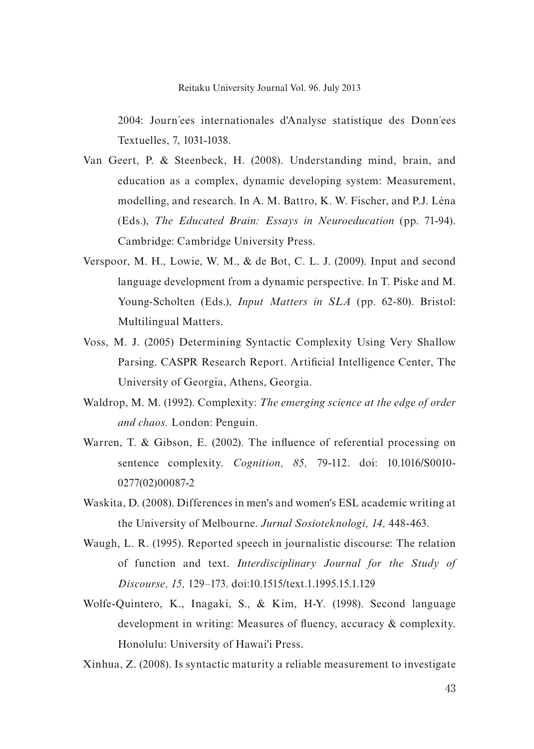2004: Journ´ees internationales d'Analyse statistique des Donn´ees Textuelles, 7, 1031-1038.

- Van Geert, P. & Steenbeck, H. (2008). Understanding mind, brain, and education as a complex, dynamic developing system: Measurement, modelling, and research. In A. M. Battro, K. W. Fischer, and P.J. Léna (Eds.), *The Educated Brain: Essays in Neuroeducation* (pp. 71-94). Cambridge: Cambridge University Press.
- Verspoor, M. H., Lowie, W. M., & de Bot, C. L. J. (2009). Input and second language development from a dynamic perspective. In T. Piske and M. Young-Scholten (Eds.), *Input Matters in SLA* (pp. 62-80). Bristol: Multilingual Matters.
- Voss, M. J. (2005) Determining Syntactic Complexity Using Very Shallow Parsing. CASPR Research Report. Artificial Intelligence Center, The University of Georgia, Athens, Georgia.
- Waldrop, M. M. (1992). Complexity: *The emerging science at the edge of order and chaos.* London: Penguin.
- Warren, T. & Gibson, E. (2002). The influence of referential processing on sentence complexity. *Cognition, 85,* 79-112. doi: 10.1016/S0010- 0277(02)00087-2
- Waskita, D. (2008). Differences in men's and women's ESL academic writing at the University of Melbourne. *Jurnal Sosioteknologi, 14,* 448-463.
- Waugh, L. R. (1995). Reported speech in journalistic discourse: The relation of function and text. *Interdisciplinary Journal for the Study of Discourse, 15,* 129–173. doi:10.1515/text.1.1995.15.1.129
- Wolfe-Quintero, K., Inagaki, S., & Kim, H-Y. (1998). Second language development in writing: Measures of fluency, accuracy & complexity. Honolulu: University of Hawai'i Press.

Xinhua, Z. (2008). Is syntactic maturity a reliable measurement to investigate